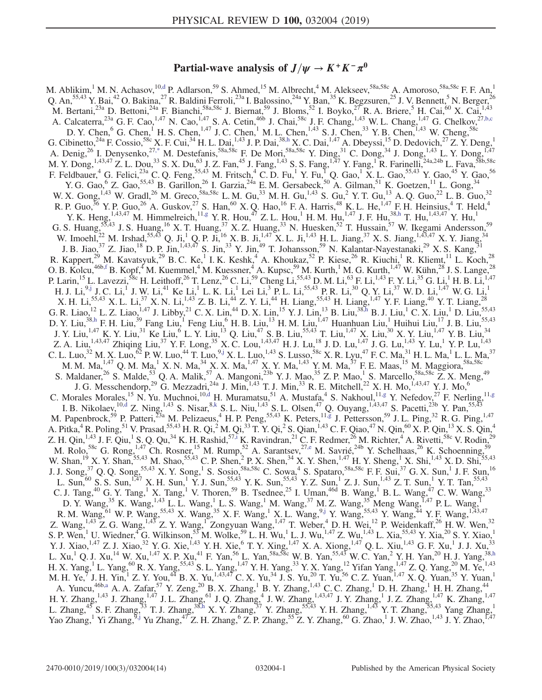# Partial-wave analysis of  $J/\psi \rightarrow K^+K^-\pi^0$

<span id="page-0-9"></span><span id="page-0-8"></span><span id="page-0-7"></span><span id="page-0-6"></span><span id="page-0-5"></span><span id="page-0-4"></span><span id="page-0-3"></span><span id="page-0-2"></span><span id="page-0-1"></span><span id="page-0-0"></span>M. Ablikim,<sup>1</sup> M. N. Achasov,<sup>10[,d](#page-2-0)</sup> P. Adlarson,<sup>59</sup> S. Ahmed,<sup>15</sup> M. Albrecht,<sup>4</sup> M. Alekseev,<sup>58a,58c</sup> A. Amoroso,<sup>58a,58c</sup> F. F. An,<sup>1</sup> Q. An,  $55,43$  Y. Bai,  $42$  O. Bakina,  $27$  R. Baldini Ferroli,  $23a$  I. Balossino,  $24a$  Y. Ban,  $35$  K. Begzsuren,  $25$  J. V. Bennett,  $5$  N. Berger,  $26$ M. Bertani,<sup>23a</sup> D. Bettoni,<sup>24a</sup> F. Bianchi,<sup>58a,58c</sup> J. Biernat,<sup>59</sup> J. Bloms,<sup>52</sup> I. Boyko,<sup>27</sup> R. A. Briere,<sup>5</sup> H. Cai,<sup>60</sup> X. Cai,<sup>1,43</sup> A. Calcaterra,  $^{23a}$  G. F. Cao,  $^{1,47}$  N. Cao,  $^{1,47}$  S. A. Cetin,  $^{46b}$  J. Chai,  $^{58c}$  J. F. Chang,  $^{1,43}$  W. L. Chang,  $^{1,47}$  G. Chelkov,  $^{27,b,c}$  $^{27,b,c}$  $^{27,b,c}$ D. Y. Chen,  $^{6}$  G. Chen,  $^{1}$  H. S. Chen,  $^{1,47}$  J. C. Chen,  $^{1}$  M. L. Chen,  $^{1,43}$  S. J. Chen,  $^{33}$  Y. B. Chen,  $^{1,43}$  W. Cheng,  $^{58c}$ G. Cibinetto,<sup>24a</sup> F. Cossio,<sup>58c</sup> X. F. Cui,<sup>34</sup> H. L. Dai,<sup>1,43</sup> J. P. Dai,<sup>3[8,h](#page-2-2)</sup> X. C. Dai,<sup>1,47</sup> A. Dbeyssi,<sup>15</sup> D. Dedovich,<sup>27</sup> Z. Y. Deng,<sup>1</sup> A. Denig,<sup>26</sup> I. Denysenko,<sup>2[7,\\*](#page-2-3)</sup> M. Destefanis,<sup>58a,58c</sup> F. De Mori,<sup>58a,58c</sup> Y. Ding,<sup>31</sup> C. Dong,<sup>34</sup> J. Dong,<sup>1,43</sup> L. Y. Dong,<sup>1,47</sup> M. Y. Dong, <sup>1,43,47</sup> Z. L. Dou,<sup>33</sup> S. X. Du,<sup>63</sup> J. Z. Fan,<sup>45</sup> J. Fang, <sup>1,43</sup> S. S. Fang, <sup>1,47</sup> Y. Fang, <sup>1</sup> R. Farinelli, <sup>24a,24b</sup> L. Fava, <sup>58b,58c</sup> F. Feldbauer, <sup>4</sup> G. Felici,<sup>23a</sup> C. Q. Feng,<sup>55,43</sup> M. Fritsch, <sup>4</sup> C. D. Fu, <sup>1</sup> Y. Fu, <sup>1</sup> Q. Gao, <sup>1</sup> X. L. Gao,<sup>55,43</sup> Y. Gao,<sup>45</sup> Y. Gao,<sup>56</sup> Y. G. Gao,  $\rm{6}$  Z. Gao,  $\rm{55,43}$  B. Garillon,  $\rm{26}$  I. Garzia,  $\rm{24a}$  E. M. Gersabeck,  $\rm{50}$  A. Gilman,  $\rm{51}$  K. Goetzen,  $\rm{11}$  L. Gong,  $\rm{34}$ W. X. Gong,  $^{1,43}$  W. Gradl,  $^{26}$  M. Greco,  $^{58a,58c}$  L. M. Gu,  $^{33}$  M. H. Gu,  $^{1,43}$  S. Gu,  $^{2}$  Y. T. Gu,  $^{13}$  A. Q. Guo,  $^{22}$  L. B. Guo,  $^{32}$ R. P. Guo, <sup>36</sup> Y. P. Guo, <sup>26</sup> A. Guskov, <sup>27</sup> S. Han, <sup>60</sup> X. Q. Hao, <sup>16</sup> F. A. Harris, <sup>48</sup> K. L. He, <sup>1,47</sup> F. H. Heinsius, <sup>4</sup> T. Held, <sup>4</sup> Y. K. Heng,  $^{1,43,47}_{1,43,47}$  M. Himmelreich,  $^{11, g}$  Y. R. Hou,  $^{47}$  Z. L. Hou,  $^{1}$  H. M. Hu,  $^{1,47}$  J. F. Hu,  $^{38, h}$  T. Hu,  $^{1,43,47}$  Y. Hu,  $^{1}$ G. S. Huang,  $55,43$  J. S. Huang,  $^{16}$  X. T. Huang,  $^{37}$  X. Z. Huang,  $^{33}$  N. Huesken,  $^{52}$  T. Hussain,  $^{57}$  W. Ikegami Andersson,  $^{59}$ W. Imoehl,<sup>22</sup> M. Irshad,<sup>55,43</sup> Q. Ji,<sup>1</sup> Q. P. Ji,<sup>16</sup> X. B. Ji,<sup>1,47</sup> X. L. Ji,<sup>1,43</sup> H. L. Jiang,<sup>37</sup> X. S. Jiang,<sup>1,43,47</sup> X. Y. Jiang,<sup>34</sup> J. B. Jiao,  $3^7$  Z. Jiao,  $1^8$  D. P. Jin,  $1,43,47$  S. Jin,  $3^3$  Y. Jin,  $4^9$  T. Johansson,  $5^9$  N. Kalantar-Nayestanaki,  $2^9$  X. S. Kang,  $31$ R. Kappert,<sup>29</sup> M. Kavatsyuk,<sup>29</sup> B. C. Ke,<sup>1</sup> I. K. Keshk,<sup>4</sup> A. Khoukaz,<sup>52</sup> P. Kiese,<sup>26</sup> R. Kiuchi,<sup>1</sup> R. Kliemt,<sup>11</sup> L. Koch,<sup>28</sup> O. B. Kolcu,<sup>46b[,f](#page-2-5)</sup> B. Kopf,<sup>4</sup> M. Kuemmel,<sup>4</sup> M. Kuessner,<sup>4</sup> A. Kupsc,<sup>59</sup> M. Kurth,<sup>1</sup> M. G. Kurth,<sup>1,47</sup> W. Kühn,<sup>28</sup> J. S. Lange,<sup>28</sup> P. Larin,<sup>15</sup> L. Lavezzi,<sup>58c</sup> H. Leithoff,<sup>26</sup> T. Lenz,<sup>26</sup> C. Li,<sup>59</sup> Cheng Li,<sup>55,43</sup> D. M. Li,<sup>63</sup> F. Li,<sup>1,43</sup> F. Y. Li,<sup>35</sup> G. Li,<sup>1</sup> H. B. Li,<sup>1,47</sup> H. J. Li, $^{9, j}$  J. C. Li, $^{1}$  J. W. Li, $^{41}$  Ke Li, $^{1}$  L. K. Li, $^{1}$  Lei Li, $^{3}$  P. L. Li, $^{55, 43}$  P. R. Li, $^{30}$  Q. Y. Li, $^{37}$  W. D. Li, $^{1, 47}$  W. G. Li, $^{1}$ X. H. Li,<sup>55,43</sup> X. L. Li,<sup>37</sup> X. N. Li,<sup>1,43</sup> Z. B. Li,<sup>44</sup> Z. Y. Li,<sup>44</sup> H. Liang,<sup>55,43</sup> H. Liang,<sup>1,47</sup> Y. F. Liang,<sup>40</sup> Y. T. Liang,<sup>28</sup> G. R. Liao,  $^{12}$  L. Z. Liao,  $^{1,47}$  J. Libby,  $^{21}$  C. X. Lin,  $^{44}$  D. X. Lin,  $^{15}$  Y. J. Lin,  $^{13}$  B. Liu,  $^{38, h}$  B. J. Liu,  $^{1}$  C. X. Liu,  $^{1}$  D. Liu,  $^{55,43}$ D. Y. Liu,<sup>3[8,h](#page-2-2)</sup> F. H. Liu,<sup>39</sup> Fang Liu,<sup>1</sup> Feng Liu,<sup>6</sup> H. B. Liu,<sup>13</sup> H. M. Liu,<sup>1,47</sup> Huanhuan Liu,<sup>1</sup> Huihui Liu,<sup>17</sup> J. B. Liu,<sup>55,43</sup> J. Y. Liu,<sup>1,47</sup> K. Y. Liu,<sup>31</sup> Ke Liu,<sup>6</sup> L. Y. Liu,<sup>13</sup> Q. Liu,<sup>47</sup> S. B. Liu,<sup>55,43</sup> T. Liu,<sup>1,47</sup> X. Liu,<sup>30</sup> X. Y. Liu,<sup>1,47</sup> Y. B. Liu,<sup>34</sup> Z. A. Liu,<sup>1,43,47</sup> Zhiqing Liu,<sup>37</sup> Y. F. Long,<sup>35</sup> X. C. Lou,<sup>1,43,47</sup> H. J. Lu,<sup>18</sup> J. D. Lu,<sup>1,47</sup> J. G. Lu,<sup>1,43</sup> Y. Lu,<sup>1</sup> Y. P. Lu,<sup>1,43</sup> C. L. Luo,<sup>32</sup> M. X. Luo,<sup>62</sup> P. W. Luo,<sup>44</sup> T. Luo,<sup>9[,j](#page-2-6)</sup> X. L. Luo,<sup>1,43</sup> S. Lusso,<sup>58c</sup> X. R. Lyu,<sup>47</sup> F. C. Ma,<sup>31</sup> H. L. Ma,<sup>1</sup> L. L. Ma,<sup>37</sup> M. M. Ma, $^{1,47}$  Q. M. Ma, $^1$  X. N. Ma, $^{34}$  X. X. Ma, $^{1,47}$  X. Y. Ma, $^{1,43}$  Y. M. Ma, $^{37}$  F. E. Maas, $^{15}$  M. Maggiora, $^{58a,58c}$ S. Maldaner,<sup>26</sup> S. Malde,<sup>53</sup> Q. A. Malik,<sup>57</sup> A. Mangoni,<sup>23b</sup> Y. J. Mao,<sup>35</sup> Z. P. Mao,<sup>1</sup> S. Marcello,<sup>58a,58c</sup> Z. X. Meng,<sup>49</sup> J. G. Messchendorp,<sup>29</sup> G. Mezzadri,<sup>24a</sup> J. Min,<sup>1,43</sup> T. J. Min,<sup>33</sup> R. E. Mitchell,<sup>22</sup> X. H. Mo,<sup>1,43,47</sup> Y. J. Mo,<sup>6</sup> C. Morales Morales,<sup>15</sup> N. Yu. Muchnoi,<sup>1[0,d](#page-2-0)</sup> H. Muramatsu,<sup>51</sup> A. Mustafa,<sup>4</sup> S. Nakhoul,<sup>1[1,g](#page-2-4)</sup> Y. Nefedov,<sup>27</sup> F. Nerling,<sup>11[,g](#page-2-4)</sup> I. B. Nikolaev,  $^{10, d}$  Z. Ning,  $^{1, 43}$  S. Nisar,  $^{8, k}$  S. L. Niu,  $^{1, 43}$  S. L. Olsen,  $^{47}$  Q. Ouyang,  $^{1, 43, 47}$  S. Pacetti,  $^{23b}$  Y. Pan,  $^{55, 43}$ M. Papenbrock,<sup>59</sup> P. Patteri,<sup>23a</sup> M. Pelizaeus,<sup>4</sup> H. P. Peng,<sup>55,43</sup> K. Peters,<sup>1[1,g](#page-2-4)</sup> J. Pettersson,<sup>59</sup> J. L. Ping,<sup>32</sup> R. G. Ping,<sup>1,47</sup> A. Pitka,<sup>4</sup> R. Poling,<sup>51</sup> V. Prasad,<sup>55,43</sup> H. R. Qi,<sup>2</sup> M. Qi,<sup>33</sup> T. Y. Qi,<sup>2</sup> S. Qian,<sup>1,43</sup> C. F. Qiao,<sup>47</sup> N. Qin,<sup>60</sup> X. P. Qin,<sup>13</sup> X. S. Qin,<sup>4</sup> Z. H. Qin,  $^{1,43}$  J. F. Qiu,  $^{1}$  S. Q. Qu,  $^{34}$  K. H. Rashid,  $^{57,1}$  K. Ravindran,  $^{21}$  C. F. Redmer,  $^{26}$  M. Richter,  $^{4}$  A. Rivetti,  $^{58c}$  V. Rodin,  $^{29}$ M. Rolo,<sup>58c</sup> G. Rong,<sup>1,47</sup> Ch. Rosner,<sup>15</sup> M. Rump,<sup>52</sup> A. Sarantsev,<sup>2[7,e](#page-2-9)</sup> M. Savrié,<sup>24b</sup> Y. Schelhaas,<sup>26</sup> K. Schoenning,<sup>59</sup> W. Shan,<sup>19</sup> X. Y. Shan,<sup>55,43</sup> M. Shao,<sup>55,43</sup> C. P. Shen,<sup>2</sup> P. X. Shen,<sup>34</sup> X. Y. Shen,<sup>1,47</sup> H. Y. Sheng,<sup>1</sup> X. Shi,<sup>1,43</sup> X. D. Shi,<sup>55,43</sup> J. J. Song,<sup>37</sup> Q. Q. Song,<sup>55,43</sup> X. Y. Song,<sup>1</sup> S. Sosio,<sup>58a,58c</sup> C. Sowa,<sup>4</sup> S. Spataro,<sup>58a,58c</sup> F. F. Sui,<sup>37</sup> G. X. Sun,<sup>1</sup> J. F. Sun,<sup>16</sup> L. Sun,<sup>60</sup> S. S. Sun,<sup>1,47</sup> X. H. Sun,<sup>1</sup> Y. J. Sun,<sup>55,43</sup> Y. K. Sun,<sup>55,43</sup> Y. Z. Sun,<sup>1</sup> Z. J. Sun,<sup>1,43</sup> Z. T. Sun,<sup>1</sup> Y. T. Tan,<sup>55,43</sup> C. J. Tang,<sup>40</sup> G. Y. Tang,<sup>1</sup> X. Tang,<sup>1</sup> V. Thoren,<sup>59</sup> B. Tsednee,<sup>25</sup> I. Uman,<sup>46d</sup> B. Wang,<sup>1</sup> B. L. Wang,<sup>47</sup> C. W. Wang,<sup>33</sup> D. Y. Wang,  $^{35}$  K. Wang,  $^{1,43}$  L. L. Wang,  $^{1}$  L. S. Wang,  $^{1}$  M. Wang,  $^{37}$  M. Z. Wang,  $^{35}$  Meng Wang,  $^{1,47}$  P. L. Wang,  $^{1}$ R. M. Wang,  $^{61}$  W. P. Wang,  $^{55,43}$  X. Wang,  $^{35}$  X. F. Wang,  $^{1}$  X. L. Wang,  $^{9, j}$  Y. Wang,  $^{55,43}$  Y. Wang,  $^{44}$  Y. F. Wang,  $^{1,43,47}$ Z. Wang,<sup>1,43</sup> Z. G. Wang,<sup>1,43</sup> Z. Y. Wang,<sup>1</sup> Zongyuan Wang,<sup>1,47</sup> T. Weber,<sup>4</sup> D. H. Wei,<sup>12</sup> P. Weidenkaff,<sup>26</sup> H. W. Wen,<sup>32</sup> S. P. Wen,<sup>1</sup> U. Wiedner,<sup>4</sup> G. Wilkinson,<sup>53</sup> M. Wolke,<sup>59</sup> L. H. Wu,<sup>1</sup> L. J. Wu,<sup>1,47</sup> Z. Wu,<sup>1,43</sup> L. Xia,<sup>55,43</sup> Y. Xia,<sup>20</sup> S. Y. Xiao,<sup>1</sup> Y. J. Xiao,<sup>1,47</sup> Z. J. Xiao,<sup>32</sup> Y. G. Xie,<sup>1,43</sup> Y. H. Xie,<sup>6</sup> T. Y. Xing,<sup>1,47</sup> X. A. Xiong,<sup>1,47</sup> Q. L. Xiu,<sup>1,43</sup> G. F. Xu,<sup>1</sup> J. J. Xu,<sup>33</sup> L. Xu,<sup>1</sup> Q. J. Xu,<sup>14</sup> W. Xu,<sup>1,47</sup> X. P. Xu,<sup>41</sup> F. Yan,<sup>56</sup> L. Yan,<sup>58a,58c</sup> W. B. Yan,<sup>55,45</sup> W. C. Yan,<sup>2</sup> Y. H. Yan,<sup>20</sup> H. J. Yang,<sup>38[,h](#page-2-2)</sup> H. X. Yang, <sup>1</sup> L. Yang, <sup>60</sup> R. X. Yang, <sup>55,43</sup> S. L. Yang, <sup>1,47</sup> Y. H. Yang, <sup>33</sup> Y. X. Yang, <sup>12</sup> Yifan Yang, <sup>1,47</sup> Z. Q. Yang, <sup>20</sup> M. Ye, <sup>1,43</sup> M. H. Ye, I. H. Yin, Z. Y. You,  $^{44}$  B. X. Yu,  $^{1,43,47}$  C. X. Yu,  $^{34}$  J. S. Yu,  $^{20}$  T. Yu,  $^{56}$  C. Z. Yuan,  $^{1,47}$  X. Q. Yuan,  $^{35}$  Y. Yuan,  $^{1,47}$ A. Yuncu,<sup>46[b,a](#page-2-10)</sup> A. A. Zafar,<sup>57</sup> Y. Zeng,<sup>20</sup> B. X. Zhang,<sup>1</sup> B. Y. Zhang,<sup>1,43</sup> C. C. Zhang,<sup>1</sup> D. H. Zhang,<sup>1</sup> H. H. Zhang,<sup>44</sup> H. Y. Zhang,<sup>1,43</sup> J. Zhang,<sup>1,47</sup> J. L. Zhang,<sup>61</sup> J. Q. Zhang,<sup>4</sup> J. W. Zhang,<sup>1,43,47</sup> J. Y. Zhang,<sup>1</sup> J. Z. Zhang,<sup>1,47</sup> K. Zhang,<sup>1,47</sup> L. Zhang,<sup>45</sup> S. F. Zhang,<sup>33</sup> T. J. Zhang,<sup>3[8,h](#page-2-2)</sup> X. Y. Zhang,<sup>37</sup> Y. Zhang,<sup>55,43</sup> Y. H. Zhang,<sup>1,43</sup> Y. T. Zhang,<sup>55,43</sup> Yang Zhang,<sup>1</sup> Yao Zhang,<sup>1</sup> Yi Zhang,<sup>5</sup>,j Yu Zhang,<sup>47</sup> Z. H. Zhang,<sup>6</sup> Z. P. Zhang,<sup>55</sup> Z. Y. Zhang,<sup>60</sup> G. Zhao,<sup>1</sup> J. W. Zhao,<sup>1,43</sup> J. Y. Zhao,<sup>1,47</sup>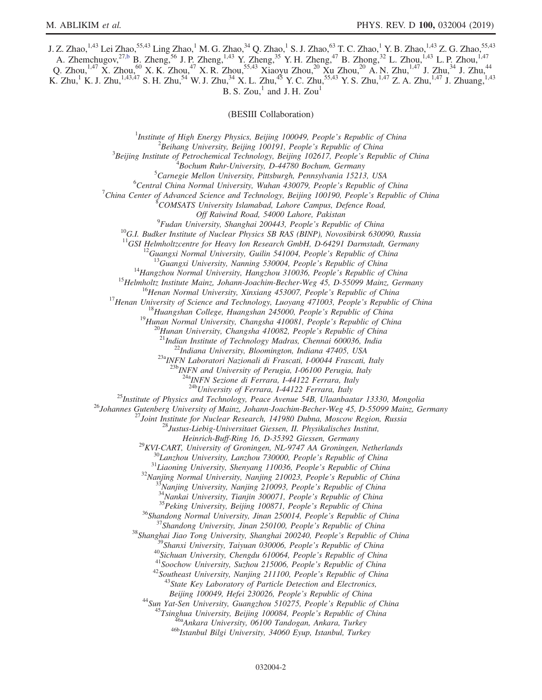J. Z. Zhao,<sup>1,43</sup> Lei Zhao,<sup>55,43</sup> Ling Zhao,<sup>1</sup> M. G. Zhao,<sup>34</sup> Q. Zhao,<sup>1</sup> S. J. Zhao,<sup>63</sup> T. C. Zhao,<sup>1</sup> Y. B. Zhao,<sup>1,43</sup> Z. G. Zhao,<sup>55,43</sup> A. Zhemchugov,<sup>2[7,b](#page-2-1)</sup> B. Zheng,<sup>56</sup> J. P. Zheng,<sup>1,43</sup> Y. Zheng,<sup>35</sup> Y. H. Zheng,<sup>47</sup> B. Zhong,<sup>32</sup> L. Zhou,<sup>1,43</sup> L. P. Zhou,<sup>1,47</sup>

Q. Zhou,<sup>1,47</sup> X. Zhou,<sup>60</sup> X. K. Zhou,<sup>47</sup> X. R. Zhou,<sup>55,43</sup> Xiaoyu Zhou,<sup>20</sup> Xu Zhou,<sup>20</sup> A. N. Zhu,<sup>1,47</sup> J. Zhu,<sup>34</sup> J. Zhu,<sup>44</sup> K. Zhu,<sup>1</sup> K. J. Zhu,<sup>1,43,47</sup> S. H. Zhu,<sup>54</sup> W. J. Zhu,<sup>34</sup> X. L. Zhu,<sup>45</sup> Y. C. Zhu,<sup>55,43</sup> Y. S. Zhu,<sup>1,47</sup> Z. A. Zhu,<sup>1,47</sup> J. Zhuang,<sup>1,43</sup> B. S. Zou, $<sup>1</sup>$  and J. H. Zou<sup>1</sup></sup>

(BESIII Collaboration)

<sup>1</sup>Institute of High Energy Physics, Beijing 100049, People's Republic of China  $\frac{2 \text{Poibana}}{2}$  ${}^{2}$ Beihang University, Beijing 100191, People's Republic of China  $B^3$ Beijing Institute of Petrochemical Technology, Beijing 102617, People's Republic of China  $B$ ochum Ruhr-University, D-44780 Bochum, Germany  ${}^{5}$ Carnegie Mellon University, Pittsburgh, Pennsylvania 15213, USA  ${}^{6}$ Central China Normal University, Wuhan 430079, People's Republic of China <sup>7</sup>China Center of Advanced Science and Technology, Beijing 100190, People's Republic of China COMSATS University Islamabad, Lahore Campus, Defence Road,  $^{9}$ Fudan University, Shanghai 200443, People's Republic of China <sup>10</sup>G.I. Budker Institute of Nuclear Physics SB RAS (BINP), Novosibirsk 630090, Russia <sup>11</sup>GSI Helmholtzcentre for Heavy Ion Research GmbH, D-64291 Darmstadt, Germany <sup>11</sup>GSI Helmholtzcentre for Heavy Ion Research GmbH, D-64291 Darmstadt, Germany<br><sup>12</sup>Guangxi Normal University, Guilin 541004, People's Republic of China<br><sup>13</sup>Guangxi University, Nanning 530004, People's Republic of China<br><sup></sup>  $^{23a}$ INFN Laboratori Nazionali di Frascati, I-00044 Frascati, Italy<br> $^{23b}$ INFN and University of Perugia, I-06100 Perugia, Italy  $\frac{^{24a}NFN}{^{24b}University}$  of Ferrara, I-44122 Ferrara, Italy  $\frac{^{24b}University}$  of Ferrara, I-44122 Ferrara, Italy <sup>25</sup>Institute of Physics and Technology, Peace Avenue 54B, Ulaanbaatar 13330, Mongolia<br><sup>26</sup>Johannes Gutenberg University of Mainz, Johann-Joachim-Becher-Weg 45, D-55099 Mainz, Germany<br><sup>27</sup>Joint Institute for Nuclear Resea Heinrich-Buff-Ring 16, D-35392 Giessen, Germany<br>
<sup>29</sup>KVI-CART, University of Groningen, NL-9747 AA Groningen, Netherlands<br>
<sup>30</sup>Lanzhou University, Lanzhou 730000, People's Republic of China<br>
<sup>31</sup>Laioning University, Shenya Beijing 100049, Hefei 230026, People's Republic of China<br><sup>44</sup>Sun Yat-Sen University, Guangzhou 510275, People's Republic of China<br><sup>45</sup>Tsinghua University, Beijing 100084, People's Republic of China<br><sup>466</sup>Ankara University,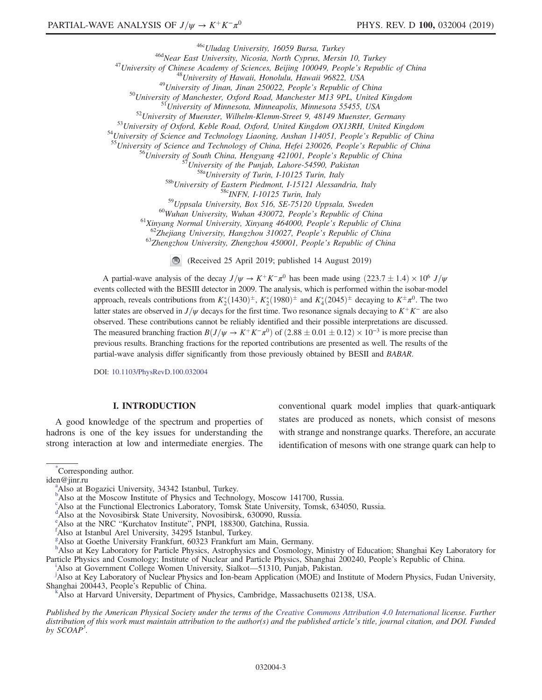<sup>466</sup>Uludag University, 16059 Bursa, Turkey<br>
<sup>46</sup>University of China East University, Nicosia, North Cyprus, Mersin 10, Turkey<br>
<sup>47</sup>University of China<br>
<sup>48</sup>University of Hawaii, Honolulu, Hawaii 96822, USA<br>
<sup>49</sup>Universit <sup>58b</sup>University of Eastern Piedmont, I-15121 Alessandria, Italy<br><sup>58c</sup>INFN, I-10125 Turin, Italy<br><sup>59</sup>Uppsala University, Box 516, SE-75120 Uppsala, Sweden<br><sup>60</sup>Wuhan University, Wuhan 430072, People's Republic of China<br><sup>61</sup> (Received 25 April 2019; published 14 August 2019)

A partial-wave analysis of the decay  $J/\psi \rightarrow K^+K^-\pi^0$  has been made using  $(223.7 \pm 1.4) \times 10^6$  J/ $\psi$ events collected with the BESIII detector in 2009. The analysis, which is performed within the isobar-model approach, reveals contributions from  $K_2^*(1430)^{\pm}$ ,  $K_2^*(1980)^{\pm}$  and  $K_4^*(2045)^{\pm}$  decaying to  $K^{\pm}\pi^0$ . The two latter states are observed in  $J/\psi$  decays for the first time. Two resonance signals decaying to K<sup>+</sup>K<sup>−</sup> are also observed. These contributions cannot be reliably identified and their possible interpretations are discussed. The measured branching fraction  $B(J/\psi \to K^+K^-\pi^0)$  of  $(2.88 \pm 0.01 \pm 0.12) \times 10^{-3}$  is more precise than previous results. Branching fractions for the reported contributions are presented as well. The results of the partial-wave analysis differ significantly from those previously obtained by BESII and BABAR.

DOI: [10.1103/PhysRevD.100.032004](https://doi.org/10.1103/PhysRevD.100.032004)

### I. INTRODUCTION

A good knowledge of the spectrum and properties of hadrons is one of the key issues for understanding the strong interaction at low and intermediate energies. The conventional quark model implies that quark-antiquark states are produced as nonets, which consist of mesons with strange and nonstrange quarks. Therefore, an accurate identification of mesons with one strange quark can help to

<span id="page-2-3"></span>[\\*](#page-0-0) Corresponding author.

<span id="page-2-10"></span>iden@jinr.ru

<sup>&</sup>lt;sup>a</sup>Also at Bogazici University, 34342 Istanbul, Turkey.

<span id="page-2-1"></span><sup>&</sup>lt;sup>[b](#page-0-2)</sup>Also at the Moscow Institute of Physics and Technology, Moscow 141700, Russia.

c Also at the Functional Electronics Laboratory, Tomsk State University, Tomsk, 634050, Russia.

<span id="page-2-0"></span><sup>&</sup>lt;sup>[d](#page-0-3)</sup>Also at the Novosibirsk State University, Novosibirsk, 630090, Russia.

<span id="page-2-9"></span><sup>&</sup>lt;sup>[e](#page-0-4)</sup>Also at the NRC "Kurchatov Institute", PNPI, 188300, Gatchina, Russia.

<span id="page-2-5"></span>Also at Istanbul Arel University, 34295 Istanbul, Turkey.

<span id="page-2-4"></span>[g](#page-0-6) Also at Goethe University Frankfurt, 60323 Frankfurt am Main, Germany.

<span id="page-2-2"></span>[h](#page-0-7) Also at Key Laboratory for Particle Physics, Astrophysics and Cosmology, Ministry of Education; Shanghai Key Laboratory for Part[i](#page-0-8)cle Physics and Cosmology; Institute of Nuclear and Particle Physics, Shanghai 200240, People's Republic of China. <sup>1</sup>Also at Government College Women University, Sialkot—51310, Pun[j](#page-0-9)ab, Pakistan.

<span id="page-2-8"></span>

<span id="page-2-6"></span>Also at Key Laboratory of Nuclear Physics and Ion-beam Application (MOE) and Institute of Modern Physics, Fudan University, Shanghai 200443, People's Republic of China. [k](#page-0-3)

<span id="page-2-7"></span>Also at Harvard University, Department of Physics, Cambridge, Massachusetts 02138, USA.

Published by the American Physical Society under the terms of the [Creative Commons Attribution 4.0 International](https://creativecommons.org/licenses/by/4.0/) license. Further distribution of this work must maintain attribution to the author(s) and the published article's title, journal citation, and DOI. Funded by  $SCOAP<sup>3</sup>$ .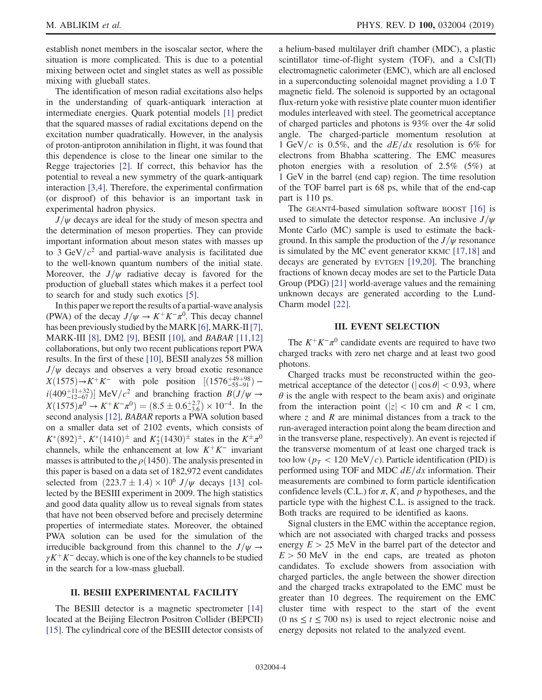establish nonet members in the isoscalar sector, where the situation is more complicated. This is due to a potential mixing between octet and singlet states as well as possible mixing with glueball states.

The identification of meson radial excitations also helps in the understanding of quark-antiquark interaction at intermediate energies. Quark potential models [\[1\]](#page-12-0) predict that the squared masses of radial excitations depend on the excitation number quadratically. However, in the analysis of proton-antiproton annihilation in flight, it was found that this dependence is close to the linear one similar to the Regge trajectories [\[2\].](#page-12-1) If correct, this behavior has the potential to reveal a new symmetry of the quark-antiquark interaction [\[3,4\]](#page-12-2). Therefore, the experimental confirmation (or disproof) of this behavior is an important task in experimental hadron physics.

 $J/\psi$  decays are ideal for the study of meson spectra and the determination of meson properties. They can provide important information about meson states with masses up to 3 GeV/ $c<sup>2</sup>$  and partial-wave analysis is facilitated due to the well-known quantum numbers of the initial state. Moreover, the  $J/\psi$  radiative decay is favored for the production of glueball states which makes it a perfect tool to search for and study such exotics [\[5\]](#page-12-3).

In this paper we report the results of a partial-wave analysis (PWA) of the decay  $J/\psi \rightarrow K^+K^-\pi^0$ . This decay channel has been previously studied by the MARK [\[6\],](#page-12-4) MARK-II [\[7\]](#page-12-5), MARK-III [\[8\],](#page-12-6) DM2 [\[9\]](#page-12-7), BESII [\[10\]](#page-12-8), and BABAR [\[11,12\]](#page-13-0) collaborations, but only two recent publications report PWA results. In the first of these [\[10\]](#page-12-8), BESII analyzes 58 million  $J/\psi$  decays and observes a very broad exotic resonance  $X(1575) \rightarrow K^{+}K^{-}$  with pole position  $[(1576^{+49}_{-55-91})$  $i(409^{+11+32}_{-12-67})$ ] MeV/ $c^2$  and branching fraction  $B(J/\psi \rightarrow$  $X(1575)\pi^0 \to K^+K^-\pi^0$  =  $(8.5 \pm 0.6^{+2.7}_{-3.6}) \times 10^{-4}$ . In the second analysis [\[12\],](#page-13-1) BABAR reports a PWA solution based on a smaller data set of 2102 events, which consists of  $K^*(892)^{\pm}$ ,  $K^*(1410)^{\pm}$  and  $K_2^*(1430)^{\pm}$  states in the  $K^{\pm}\pi^0$ channels, while the enhancement at low  $K^+K^-$  invariant masses is attributed to the  $\rho(1450)$ . The analysis presented in this paper is based on a data set of 182,972 event candidates selected from  $(223.7 \pm 1.4) \times 10^6$  J/ $\psi$  decays [\[13\]](#page-13-2) collected by the BESIII experiment in 2009. The high statistics and good data quality allow us to reveal signals from states that have not been observed before and precisely determine properties of intermediate states. Moreover, the obtained PWA solution can be used for the simulation of the irreducible background from this channel to the  $J/\psi \rightarrow$  $\gamma K^+ K^-$  decay, which is one of the key channels to be studied in the search for a low-mass glueball.

# II. BESIII EXPERIMENTAL FACILITY

The BESIII detector is a magnetic spectrometer [\[14\]](#page-13-3) located at the Beijing Electron Positron Collider (BEPCII) [\[15\]](#page-13-4). The cylindrical core of the BESIII detector consists of a helium-based multilayer drift chamber (MDC), a plastic scintillator time-of-flight system (TOF), and a CsI(Tl) electromagnetic calorimeter (EMC), which are all enclosed in a superconducting solenoidal magnet providing a 1.0 T magnetic field. The solenoid is supported by an octagonal flux-return yoke with resistive plate counter muon identifier modules interleaved with steel. The geometrical acceptance of charged particles and photons is 93% over the  $4\pi$  solid angle. The charged-particle momentum resolution at 1 GeV/c is 0.5%, and the  $dE/dx$  resolution is 6% for electrons from Bhabha scattering. The EMC measures photon energies with a resolution of 2.5% (5%) at 1 GeV in the barrel (end cap) region. The time resolution of the TOF barrel part is 68 ps, while that of the end-cap part is 110 ps.

The GEANT4-based simulation software BOOST [\[16\]](#page-13-5) is used to simulate the detector response. An inclusive  $J/\psi$ Monte Carlo (MC) sample is used to estimate the background. In this sample the production of the  $J/\psi$  resonance is simulated by the MC event generator KKMC [\[17,18\]](#page-13-6) and decays are generated by EVTGEN [\[19,20\]](#page-13-7). The branching fractions of known decay modes are set to the Particle Data Group (PDG) [\[21\]](#page-13-8) world-average values and the remaining unknown decays are generated according to the Lund-Charm model [\[22\].](#page-13-9)

# III. EVENT SELECTION

The  $K^+K^-\pi^0$  candidate events are required to have two charged tracks with zero net charge and at least two good photons.

Charged tracks must be reconstructed within the geometrical acceptance of the detector ( $|\cos \theta|$  < 0.93, where  $\theta$  is the angle with respect to the beam axis) and originate from the interaction point ( $|z| < 10$  cm and  $R < 1$  cm, where  $z$  and  $R$  are minimal distances from a track to the run-averaged interaction point along the beam direction and in the transverse plane, respectively). An event is rejected if the transverse momentum of at least one charged track is too low ( $p_T < 120 \text{ MeV}/c$ ). Particle identification (PID) is performed using TOF and MDC  $dE/dx$  information. Their measurements are combined to form particle identification confidence levels (C.L.) for  $\pi$ , K, and p hypotheses, and the particle type with the highest C.L. is assigned to the track. Both tracks are required to be identified as kaons.

Signal clusters in the EMC within the acceptance region, which are not associated with charged tracks and possess energy  $E > 25$  MeV in the barrel part of the detector and  $E > 50$  MeV in the end caps, are treated as photon candidates. To exclude showers from association with charged particles, the angle between the shower direction and the charged tracks extrapolated to the EMC must be greater than 10 degrees. The requirement on the EMC cluster time with respect to the start of the event (0 ns  $\le t \le 700$  ns) is used to reject electronic noise and energy deposits not related to the analyzed event.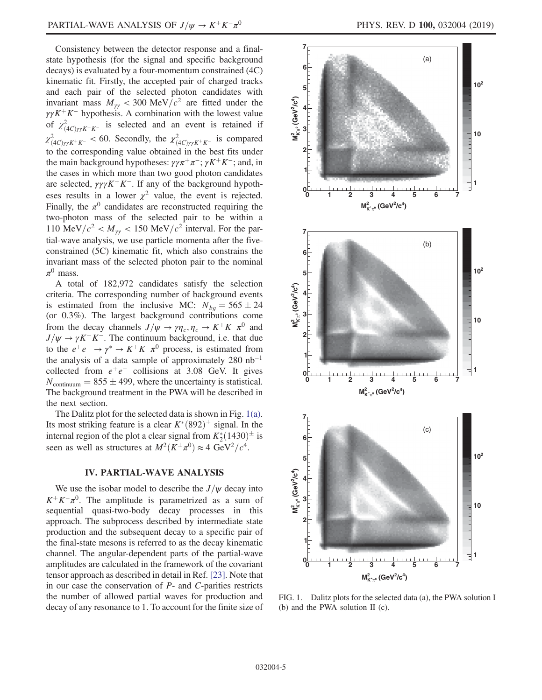Consistency between the detector response and a finalstate hypothesis (for the signal and specific background decays) is evaluated by a four-momentum constrained (4C) kinematic fit. Firstly, the accepted pair of charged tracks and each pair of the selected photon candidates with invariant mass  $M_{\gamma\gamma}$  < 300 MeV/ $c^2$  are fitted under the  $\gamma \gamma K^+ K^-$  hypothesis. A combination with the lowest value of  $\chi^2_{(4C)\gamma\gamma K^+K^-}$  is selected and an event is retained if  $\chi^2_{(4C)\gamma\gamma K^+K^-}$  < 60. Secondly, the  $\chi^2_{(4C)\gamma\gamma K^+K^-}$  is compared to the corresponding value obtained in the best fits under the main background hypotheses:  $\gamma \gamma \pi^+ \pi^-$ ;  $\gamma K^+ K^-$ ; and, in the cases in which more than two good photon candidates are selected,  $\gamma \gamma \gamma K^+ K^-$ . If any of the background hypotheses results in a lower  $\chi^2$  value, the event is rejected. Finally, the  $\pi^0$  candidates are reconstructed requiring the two-photon mass of the selected pair to be within a 110 MeV/ $c^2 < M_{\gamma\gamma} < 150$  MeV/ $c^2$  interval. For the partial-wave analysis, we use particle momenta after the fiveconstrained (5C) kinematic fit, which also constrains the invariant mass of the selected photon pair to the nominal  $\pi^0$  mass.

A total of 182,972 candidates satisfy the selection criteria. The corresponding number of background events is estimated from the inclusive MC:  $N_{bg} = 565 \pm 24$ (or 0.3%). The largest background contributions come from the decay channels  $J/\psi \rightarrow \gamma \eta_c, \eta_c \rightarrow K^+ K^- \pi^0$  and  $J/\psi \rightarrow \gamma K^+ K^-$ . The continuum background, i.e. that due to the  $e^+e^- \rightarrow \gamma^* \rightarrow K^+K^-\pi^0$  process, is estimated from the analysis of a data sample of approximately 280  $nb^{-1}$ collected from  $e^+e^-$  collisions at 3.08 GeV. It gives  $N_{\text{continuum}} = 855 \pm 499$ , where the uncertainty is statistical. The background treatment in the PWA will be described in the next section.

The Dalitz plot for the selected data is shown in Fig. [1\(a\)](#page-4-0). Its most striking feature is a clear  $K^*(892)^{\pm}$  signal. In the internal region of the plot a clear signal from  $K_2^*(1430)^{\pm}$  is seen as well as structures at  $M^2(K^{\pm}\pi^0) \approx 4 \text{ GeV}^2/c^4$ .

#### IV. PARTIAL-WAVE ANALYSIS

We use the isobar model to describe the  $J/\psi$  decay into  $K^+K^-\pi^0$ . The amplitude is parametrized as a sum of sequential quasi-two-body decay processes in this approach. The subprocess described by intermediate state production and the subsequent decay to a specific pair of the final-state mesons is referred to as the decay kinematic channel. The angular-dependent parts of the partial-wave amplitudes are calculated in the framework of the covariant tensor approach as described in detail in Ref. [\[23\]](#page-13-10). Note that in our case the conservation of P- and C-parities restricts the number of allowed partial waves for production and decay of any resonance to 1. To account for the finite size of

<span id="page-4-0"></span>

FIG. 1. Dalitz plots for the selected data (a), the PWA solution I (b) and the PWA solution II (c).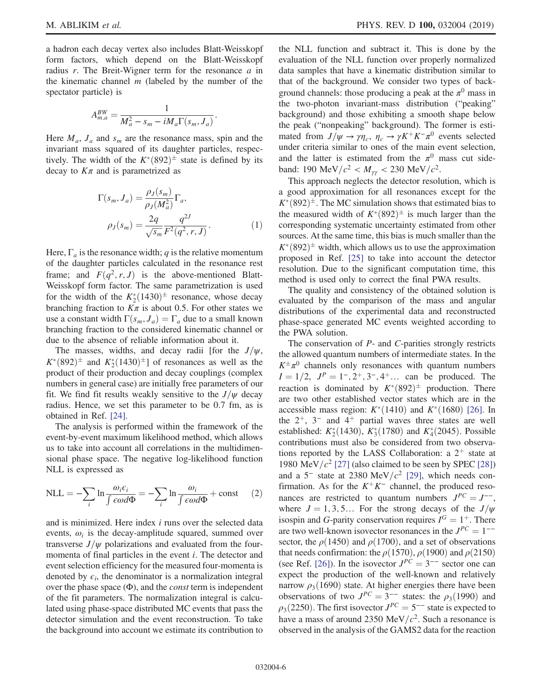a hadron each decay vertex also includes Blatt-Weisskopf form factors, which depend on the Blatt-Weisskopf radius  $r$ . The Breit-Wigner term for the resonance  $a$  in the kinematic channel  $m$  (labeled by the number of the spectator particle) is

$$
A_{m,a}^{BW} = \frac{1}{M_a^2 - s_m - iM_a \Gamma(s_m, J_a)}.
$$

Here  $M_a$ ,  $J_a$  and  $s_m$  are the resonance mass, spin and the invariant mass squared of its daughter particles, respectively. The width of the  $K^*(892)^{\pm}$  state is defined by its decay to  $K_{\pi}$  and is parametrized as

$$
\Gamma(s_m, J_a) = \frac{\rho_J(s_m)}{\rho_J(M_a^2)} \Gamma_a,
$$
  

$$
\rho_J(s_m) = \frac{2q}{\sqrt{s_m}} \frac{q^{2J}}{F^2(q^2, r, J)}.
$$
 (1)

Here,  $\Gamma_a$  is the resonance width; q is the relative momentum of the daughter particles calculated in the resonance rest frame; and  $F(q^2, r, J)$  is the above-mentioned Blatt-Weisskopf form factor. The same parametrization is used for the width of the  $K_2^*(1430)^{\pm}$  resonance, whose decay branching fraction to  $K\pi$  is about 0.5. For other states we use a constant width  $\Gamma(s_m, J_a) = \Gamma_a$  due to a small known branching fraction to the considered kinematic channel or due to the absence of reliable information about it.

The masses, widths, and decay radii [for the  $J/\psi$ ,  $K^*(892)^\pm$  and  $K^*_2(1430)^\pm$ ] of resonances as well as the product of their production and decay couplings (complex numbers in general case) are initially free parameters of our fit. We find fit results weakly sensitive to the  $J/\psi$  decay radius. Hence, we set this parameter to be 0.7 fm, as is obtained in Ref. [\[24\].](#page-13-11)

The analysis is performed within the framework of the event-by-event maximum likelihood method, which allows us to take into account all correlations in the multidimensional phase space. The negative log-likelihood function NLL is expressed as

$$
NLL = -\sum_{i} \ln \frac{\omega_{i} \epsilon_{i}}{\int \epsilon \omega d\Phi} = -\sum_{i} \ln \frac{\omega_{i}}{\int \epsilon \omega d\Phi} + \text{const} \qquad (2)
$$

and is minimized. Here index i runs over the selected data events,  $\omega_i$  is the decay-amplitude squared, summed over transverse  $J/\psi$  polarizations and evaluated from the fourmomenta of final particles in the event i. The detector and event selection efficiency for the measured four-momenta is denoted by  $\epsilon_i$ , the denominator is a normalization integral over the phase space  $(\Phi)$ , and the *const* term is independent of the fit parameters. The normalization integral is calculated using phase-space distributed MC events that pass the detector simulation and the event reconstruction. To take the background into account we estimate its contribution to the NLL function and subtract it. This is done by the evaluation of the NLL function over properly normalized data samples that have a kinematic distribution similar to that of the background. We consider two types of background channels: those producing a peak at the  $\pi^0$  mass in the two-photon invariant-mass distribution ("peaking" background) and those exhibiting a smooth shape below the peak ("nonpeaking" background). The former is estimated from  $J/\psi \rightarrow \gamma \eta_c$ ,  $\eta_c \rightarrow \gamma K^+ K^- \pi^0$  events selected under criteria similar to ones of the main event selection, and the latter is estimated from the  $\pi^0$  mass cut sideband: 190 MeV/ $c^2 < M_{\gamma\gamma} < 230$  MeV/ $c^2$ .

This approach neglects the detector resolution, which is a good approximation for all resonances except for the  $K^*(892)^\pm$ . The MC simulation shows that estimated bias to the measured width of  $K^*(892)^{\pm}$  is much larger than the corresponding systematic uncertainty estimated from other sources. At the same time, this bias is much smaller than the  $K^*(892)^\pm$  width, which allows us to use the approximation proposed in Ref. [\[25\]](#page-13-12) to take into account the detector resolution. Due to the significant computation time, this method is used only to correct the final PWA results.

The quality and consistency of the obtained solution is evaluated by the comparison of the mass and angular distributions of the experimental data and reconstructed phase-space generated MC events weighted according to the PWA solution.

The conservation of  $P$ - and  $C$ -parities strongly restricts the allowed quantum numbers of intermediate states. In the  $K^{\pm} \pi^0$  channels only resonances with quantum numbers  $I = 1/2$ ,  $J<sup>P</sup> = 1, 2+, 3, 4+, \ldots$  can be produced. The reaction is dominated by  $K^*(892)^{\pm}$  production. There are two other established vector states which are in the accessible mass region:  $K^*(1410)$  and  $K^*(1680)$  [\[26\].](#page-13-13) In the  $2^+$ ,  $3^-$  and  $4^+$  partial waves three states are well established:  $K_2^*(1430)$ ,  $K_3^*(1780)$  and  $K_4^*(2045)$ . Possible contributions must also be considered from two observations reported by the LASS Collaboration: a  $2^+$  state at 1980 MeV/ $c^2$  [\[27\]](#page-13-14) (also claimed to be seen by SPEC [\[28\]\)](#page-13-15) and a 5<sup>-</sup> state at 2380 MeV/ $c^2$  [\[29\]](#page-13-16), which needs confirmation. As for the  $K^+K^-$  channel, the produced resonances are restricted to quantum numbers  $J^{PC} = J^{--}$ , where  $J = 1, 3, 5...$  For the strong decays of the  $J/\psi$ isospin and G-parity conservation requires  $I^G = 1^+$ . There are two well-known isovector resonances in the  $J^{PC} = 1^{--}$ sector, the  $\rho(1450)$  and  $\rho(1700)$ , and a set of observations that needs confirmation: the  $\rho(1570)$ ,  $\rho(1900)$  and  $\rho(2150)$ (see Ref. [\[26\]\)](#page-13-13). In the isovector  $J^{PC} = 3^{--}$  sector one can expect the production of the well-known and relatively narrow  $\rho_3(1690)$  state. At higher energies there have been observations of two  $J^{PC} = 3^{--}$  states: the  $\rho_3(1990)$  and  $\rho_3(2250)$ . The first isovector  $J^{PC} = 5^{--}$  state is expected to have a mass of around 2350 MeV/ $c^2$ . Such a resonance is observed in the analysis of the GAMS2 data for the reaction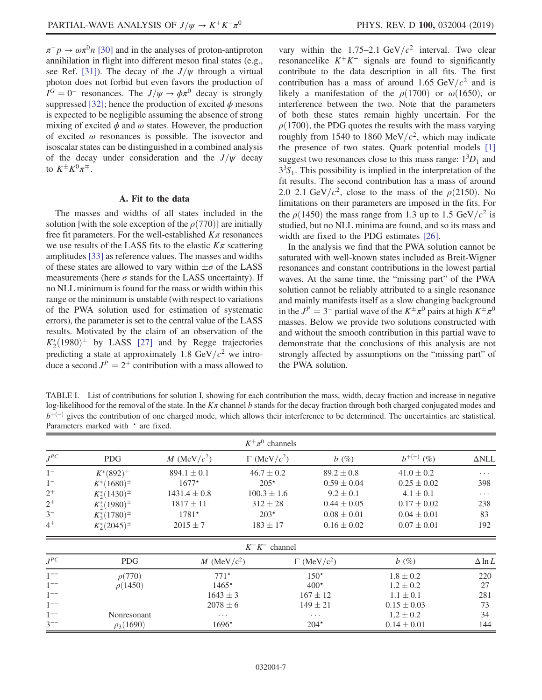$\pi^-p \to \omega \pi^0 n$  [\[30\]](#page-13-17) and in the analyses of proton-antiproton annihilation in flight into different meson final states (e.g., see Ref. [\[31\]\)](#page-13-18). The decay of the  $J/\psi$  through a virtual photon does not forbid but even favors the production of  $I^G = 0^-$  resonances. The  $J/\psi \rightarrow \phi \pi^0$  decay is strongly suppressed [\[32\];](#page-13-19) hence the production of excited  $\phi$  mesons is expected to be negligible assuming the absence of strong mixing of excited  $\phi$  and  $\omega$  states. However, the production of excited  $\omega$  resonances is possible. The isovector and isoscalar states can be distinguished in a combined analysis of the decay under consideration and the  $J/\psi$  decay to  $K^{\pm}K^0\pi^{\mp}$ .

# A. Fit to the data

The masses and widths of all states included in the solution [with the sole exception of the  $\rho(770)$ ] are initially free fit parameters. For the well-established  $K\pi$  resonances we use results of the LASS fits to the elastic  $K\pi$  scattering amplitudes [\[33\]](#page-13-20) as reference values. The masses and widths of these states are allowed to vary within  $\pm \sigma$  of the LASS measurements (here  $\sigma$  stands for the LASS uncertainty). If no NLL minimum is found for the mass or width within this range or the minimum is unstable (with respect to variations of the PWA solution used for estimation of systematic errors), the parameter is set to the central value of the LASS results. Motivated by the claim of an observation of the  $K_2^*(1980)^{\pm}$  by LASS [\[27\]](#page-13-14) and by Regge trajectories predicting a state at approximately 1.8 GeV/ $c^2$  we introduce a second  $J<sup>P</sup> = 2<sup>+</sup>$  contribution with a mass allowed to vary within the 1.75–2.1 GeV/ $c^2$  interval. Two clear resonancelike  $K^+K^-$  signals are found to significantly contribute to the data description in all fits. The first contribution has a mass of around 1.65 GeV/ $c^2$  and is likely a manifestation of the  $\rho(1700)$  or  $\omega(1650)$ , or interference between the two. Note that the parameters of both these states remain highly uncertain. For the  $\rho(1700)$ , the PDG quotes the results with the mass varying roughly from 1540 to 1860 MeV/ $c^2$ , which may indicate the presence of two states. Quark potential models [\[1\]](#page-12-0) suggest two resonances close to this mass range:  $1<sup>3</sup>D<sub>1</sub>$  and  $3<sup>3</sup>S<sub>1</sub>$ . This possibility is implied in the interpretation of the fit results. The second contribution has a mass of around 2.0–2.1 GeV/ $c^2$ , close to the mass of the  $\rho$ (2150). No limitations on their parameters are imposed in the fits. For the  $\rho(1450)$  the mass range from 1.3 up to 1.5 GeV/ $c^2$  is studied, but no NLL minima are found, and so its mass and width are fixed to the PDG estimates [\[26\]](#page-13-13).

In the analysis we find that the PWA solution cannot be saturated with well-known states included as Breit-Wigner resonances and constant contributions in the lowest partial waves. At the same time, the "missing part" of the PWA solution cannot be reliably attributed to a single resonance and mainly manifests itself as a slow changing background in the  $J^P = 3^-$  partial wave of the  $K^{\pm} \pi^0$  pairs at high  $K^{\pm} \pi^0$ masses. Below we provide two solutions constructed with and without the smooth contribution in this partial wave to demonstrate that the conclusions of this analysis are not strongly affected by assumptions on the "missing part" of the PWA solution.

<span id="page-6-0"></span>TABLE I. List of contributions for solution I, showing for each contribution the mass, width, decay fraction and increase in negative log-likelihood for the removal of the state. In the  $K\pi$  channel b stands for the decay fraction through both charged conjugated modes and  $b^{+(-)}$  gives the contribution of one charged mode, which allows their interference to be determined. The uncertainties are statistical. Parameters marked with  $\star$  are fixed.

| $K^{\pm}\pi^{0}$ channels |                     |                  |                        |                                |                 |                     |
|---------------------------|---------------------|------------------|------------------------|--------------------------------|-----------------|---------------------|
| $J^{PC}$                  | <b>PDG</b>          | M (MeV/ $c^2$ )  | $\Gamma$ (MeV/ $c^2$ ) | $b(\%)$                        | $b^{+(-)}$ (%)  | $\Delta \text{NLL}$ |
| $1-$                      | $K^*(892)^{\pm}$    | $894.1 \pm 0.1$  | $46.7 \pm 0.2$         | $89.2 \pm 0.8$                 | $41.0 \pm 0.2$  | $\cdots$            |
| $1^{-}$                   | $K^*(1680)^{\pm}$   | $1677*$          | $205*$                 | $0.59 \pm 0.04$                | $0.25 \pm 0.02$ | 398                 |
| $2^+$                     | $K_2^*(1430)^{\pm}$ | $1431.4 \pm 0.8$ | $100.3 \pm 1.6$        | $9.2 \pm 0.1$                  | $4.1 \pm 0.1$   | $\cdots$            |
| $2^+$                     | $K_2^*(1980)^{\pm}$ | $1817 \pm 11$    | $312 \pm 28$           | $0.44 \pm 0.05$                | $0.17 \pm 0.02$ | 238                 |
| $3-$                      | $K_3^*(1780)^{\pm}$ | $1781*$          | $203*$                 | $0.08 \pm 0.01$                | $0.04 \pm 0.01$ | 83                  |
| $4^+$                     | $K_4^*(2045)^{\pm}$ | $2015 \pm 7$     | $183 \pm 17$           | $0.16 \pm 0.02$                | $0.07 \pm 0.01$ | 192                 |
|                           |                     |                  | $K^+K^-$ channel       |                                |                 |                     |
| $J^{PC}$                  | <b>PDG</b>          | M (MeV/ $c^2$ )  |                        | $\Gamma$ (MeV/c <sup>2</sup> ) | b(%)            | $\Delta$ ln L       |
| $1^{--}$                  | $\rho(770)$         | $771*$           |                        | $150*$                         | $1.8 \pm 0.2$   | 220                 |
| $1^{--}$                  | $\rho(1450)$        | $1465*$          |                        | $400*$                         | $1.2 \pm 0.2$   | 27                  |
| $1^{--}$                  |                     | $1643 \pm 3$     |                        | $167 \pm 12$                   | $1.1 \pm 0.1$   | 281                 |
| $1^{--}$                  |                     | $2078 \pm 6$     |                        | $149 \pm 21$                   | $0.15 \pm 0.03$ | 73                  |
| $1^{--}$                  | Nonresonant         | $\cdots$         |                        | $\cdots$                       | $1.2 \pm 0.2$   | 34                  |
| $3^{--}$                  | $\rho_3(1690)$      | $1696*$          |                        | $204*$                         | $0.14 \pm 0.01$ | 144                 |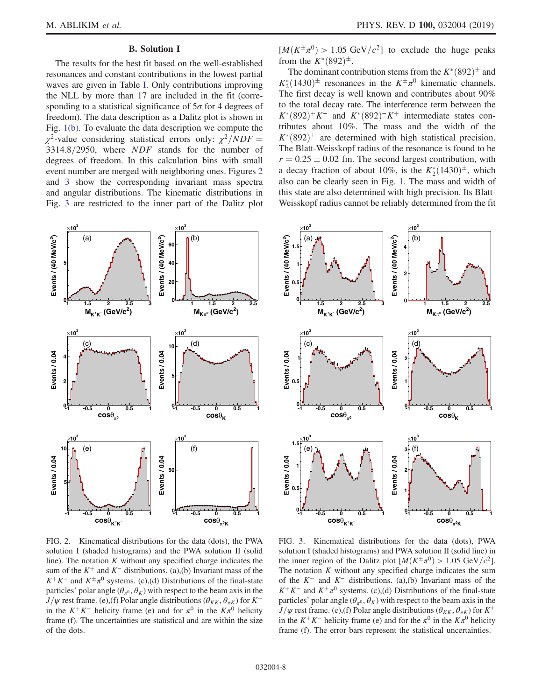# B. Solution I

The results for the best fit based on the well-established resonances and constant contributions in the lowest partial waves are given in Table [I](#page-6-0). Only contributions improving the NLL by more than 17 are included in the fit (corresponding to a statistical significance of  $5\sigma$  for 4 degrees of freedom). The data description as a Dalitz plot is shown in Fig. [1\(b\).](#page-4-0) To evaluate the data description we compute the  $\chi^2$ -value considering statistical errors only:  $\chi^2/NDF =$  $3314.8/2950$ , where  $NDF$  stands for the number of degrees of freedom. In this calculation bins with small event number are merged with neighboring ones. Figures [2](#page-7-0) and [3](#page-7-1) show the corresponding invariant mass spectra and angular distributions. The kinematic distributions in Fig. [3](#page-7-1) are restricted to the inner part of the Dalitz plot

<span id="page-7-0"></span>

FIG. 2. Kinematical distributions for the data (dots), the PWA solution I (shaded histograms) and the PWA solution II (solid line). The notation  $K$  without any specified charge indicates the sum of the  $K^+$  and  $K^-$  distributions. (a),(b) Invariant mass of the  $K^+K^-$  and  $K^{\pm}\pi^0$  systems. (c),(d) Distributions of the final-state particles' polar angle  $(\theta_{\pi^0}, \theta_K)$  with respect to the beam axis in the  $J/\psi$  rest frame. (e),(f) Polar angle distributions ( $\theta_{KK}$ ,  $\theta_{\pi K}$ ) for  $K^+$ in the  $K^+K^-$  helicity frame (e) and for  $\pi^0$  in the  $K\pi^0$  helicity frame (f). The uncertainties are statistical and are within the size of the dots.

 $[M(K^{\pm}\pi^{0}) > 1.05 \text{ GeV}/c^{2}]$  to exclude the huge peaks from the  $K^*(892)^{\pm}$ .

The dominant contribution stems from the  $K^*(892)^\pm$  and  $K_2^*(1430)^{\pm}$  resonances in the  $K^{\pm}\pi^0$  kinematic channels. The first decay is well known and contributes about 90% to the total decay rate. The interference term between the  $K^*(892)^+K^-$  and  $K^*(892)^-K^+$  intermediate states contributes about 10%. The mass and the width of the  $K^*(892)^\pm$  are determined with high statistical precision. The Blatt-Weisskopf radius of the resonance is found to be  $r = 0.25 \pm 0.02$  fm. The second largest contribution, with a decay fraction of about 10%, is the  $K_2^*(1430)^{\pm}$ , which also can be clearly seen in Fig. [1](#page-4-0). The mass and width of this state are also determined with high precision. Its Blatt-Weisskopf radius cannot be reliably determined from the fit

<span id="page-7-1"></span>

FIG. 3. Kinematical distributions for the data (dots), PWA solution I (shaded histograms) and PWA solution II (solid line) in the inner region of the Dalitz plot  $[M(K^{\pm}\pi^0) > 1.05 \text{ GeV}/c^2]$ . The notation  $K$  without any specified charge indicates the sum of the  $K^+$  and  $K^-$  distributions. (a),(b) Invariant mass of the  $K^+K^-$  and  $K^{\pm}\pi^0$  systems. (c),(d) Distributions of the final-state particles' polar angle  $(\theta_{\pi^0}, \theta_K)$  with respect to the beam axis in the  $J/\psi$  rest frame. (e),(f) Polar angle distributions ( $\theta_{KK}$ ,  $\theta_{\pi K}$ ) for  $K^+$ in the K<sup>+</sup>K<sup>−</sup> helicity frame (e) and for the  $\pi^0$  in the  $K\pi^0$  helicity frame (f). The error bars represent the statistical uncertainties.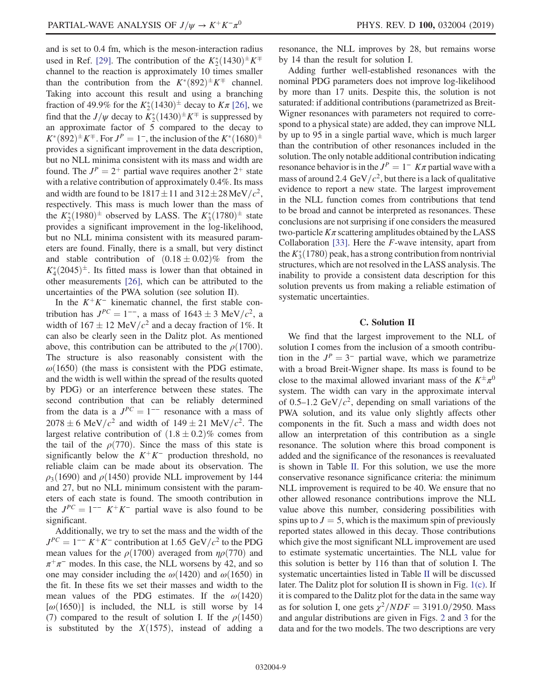and is set to 0.4 fm, which is the meson-interaction radius used in Ref. [\[29\].](#page-13-16) The contribution of the  $K_2^*(1430)^\pm K^\mp$ channel to the reaction is approximately 10 times smaller than the contribution from the  $K^*(892)^\pm K^\mp$  channel. Taking into account this result and using a branching fraction of 49.9% for the  $K_2^*(1430)^{\pm}$  decay to  $K\pi$  [\[26\],](#page-13-13) we find that the  $J/\psi$  decay to  $K_2^*(1430)^\pm K^\mp$  is suppressed by an approximate factor of  $\overline{5}$  compared to the decay to  $K^*(892)^\pm K^\mp$ . For  $J^P = 1^-$ , the inclusion of the  $K^*(1680)^\pm$ provides a significant improvement in the data description, but no NLL minima consistent with its mass and width are found. The  $J^P = 2^+$  partial wave requires another  $2^+$  state with a relative contribution of approximately 0.4%. Its mass and width are found to be  $1817 \pm 11$  and  $312 \pm 28$  MeV/ $c^2$ , respectively. This mass is much lower than the mass of the  $K_2^*(1980)^{\pm}$  observed by LASS. The  $K_3^*(1780)^{\pm}$  state provides a significant improvement in the log-likelihood, but no NLL minima consistent with its measured parameters are found. Finally, there is a small, but very distinct and stable contribution of  $(0.18 \pm 0.02)\%$  from the  $K_4^*(2045)^{\pm}$ . Its fitted mass is lower than that obtained in other measurements [\[26\],](#page-13-13) which can be attributed to the uncertainties of the PWA solution (see solution II).

In the  $K^+K^-$  kinematic channel, the first stable contribution has  $J^{PC} = 1^{--}$ , a mass of  $1643 \pm 3$  MeV/ $c^2$ , a width of  $167 \pm 12$  MeV/ $c^2$  and a decay fraction of 1%. It can also be clearly seen in the Dalitz plot. As mentioned above, this contribution can be attributed to the  $\rho(1700)$ . The structure is also reasonably consistent with the  $\omega(1650)$  (the mass is consistent with the PDG estimate, and the width is well within the spread of the results quoted by PDG) or an interference between these states. The second contribution that can be reliably determined from the data is a  $J^{PC} = 1^{--}$  resonance with a mass of  $2078 \pm 6$  MeV/ $c^2$  and width of  $149 \pm 21$  MeV/ $c^2$ . The largest relative contribution of  $(1.8 \pm 0.2)\%$  comes from the tail of the  $\rho(770)$ . Since the mass of this state is significantly below the  $K^+K^-$  production threshold, no reliable claim can be made about its observation. The  $\rho_3(1690)$  and  $\rho(1450)$  provide NLL improvement by 144 and 27, but no NLL minimum consistent with the parameters of each state is found. The smooth contribution in the  $J^{PC} = 1^{--} K^+ K^-$  partial wave is also found to be significant.

Additionally, we try to set the mass and the width of the  $J^{PC} = 1^{-1} K^{+} K^{-}$  contribution at 1.65 GeV/c<sup>2</sup> to the PDG mean values for the  $\rho(1700)$  averaged from  $\eta\rho(770)$  and  $\pi^+\pi^-$  modes. In this case, the NLL worsens by 42, and so one may consider including the  $\omega(1420)$  and  $\omega(1650)$  in the fit. In these fits we set their masses and width to the mean values of the PDG estimates. If the  $\omega(1420)$  $[\omega(1650)]$  is included, the NLL is still worse by 14 (7) compared to the result of solution I. If the  $\rho(1450)$ is substituted by the  $X(1575)$ , instead of adding a resonance, the NLL improves by 28, but remains worse by 14 than the result for solution I.

Adding further well-established resonances with the nominal PDG parameters does not improve log-likelihood by more than 17 units. Despite this, the solution is not saturated: if additional contributions (parametrized as Breit-Wigner resonances with parameters not required to correspond to a physical state) are added, they can improve NLL by up to 95 in a single partial wave, which is much larger than the contribution of other resonances included in the solution. The only notable additional contribution indicating resonance behavior is in the  $J^P = 1 - K\pi$  partial wave with a mass of around 2.4 GeV/ $c^2$ , but there is a lack of qualitative evidence to report a new state. The largest improvement in the NLL function comes from contributions that tend to be broad and cannot be interpreted as resonances. These conclusions are not surprising if one considers the measured two-particle  $K\pi$  scattering amplitudes obtained by the LASS Collaboration  $[33]$ . Here the *F*-wave intensity, apart from the  $K_3^*(1780)$  peak, has a strong contribution from nontrivial structures, which are not resolved in the LASS analysis. The inability to provide a consistent data description for this solution prevents us from making a reliable estimation of systematic uncertainties.

#### C. Solution II

We find that the largest improvement to the NLL of solution I comes from the inclusion of a smooth contribution in the  $J^P = 3^-$  partial wave, which we parametrize with a broad Breit-Wigner shape. Its mass is found to be close to the maximal allowed invariant mass of the  $K^{\pm}\pi^{0}$ system. The width can vary in the approximate interval of 0.5–1.2 GeV/ $c^2$ , depending on small variations of the PWA solution, and its value only slightly affects other components in the fit. Such a mass and width does not allow an interpretation of this contribution as a single resonance. The solution where this broad component is added and the significance of the resonances is reevaluated is shown in Table [II](#page-9-0). For this solution, we use the more conservative resonance significance criteria: the minimum NLL improvement is required to be 40. We ensure that no other allowed resonance contributions improve the NLL value above this number, considering possibilities with spins up to  $J = 5$ , which is the maximum spin of previously reported states allowed in this decay. Those contributions which give the most significant NLL improvement are used to estimate systematic uncertainties. The NLL value for this solution is better by 116 than that of solution I. The systematic uncertainties listed in Table [II](#page-9-0) will be discussed later. The Dalitz plot for solution II is shown in Fig. [1\(c\)](#page-4-0). If it is compared to the Dalitz plot for the data in the same way as for solution I, one gets  $\chi^2/NDF = 3191.0/2950$ . Mass and angular distributions are given in Figs. [2](#page-7-0) and [3](#page-7-1) for the data and for the two models. The two descriptions are very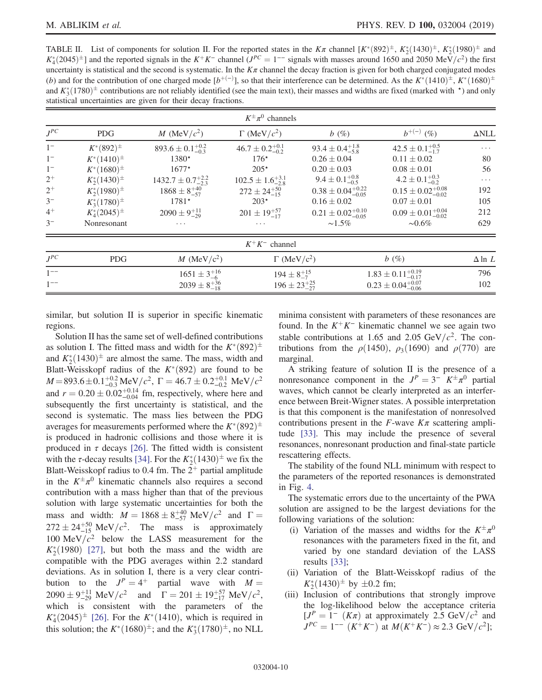<span id="page-9-0"></span>TABLE II. List of components for solution II. For the reported states in the  $K\pi$  channel  $[K^*(892)^{\pm}, K^*_2(1430)^{\pm}, K^*_2(1980)^{\pm}$  and  $K_4^*(2045)^{\pm}$ ] and the reported signals in the  $K^+K^-$  channel ( $J^{PC}=1^{--}$  signals with masses around 1650 and 2050 MeV/c<sup>2</sup>) the first uncertainty is statistical and the second is systematic. In the  $K\pi$  channel the decay fraction is given for both charged conjugated modes (b) and for the contribution of one charged mode  $[b^{+(-)}]$ , so that their interference can be determined. As the  $K^*(1410)^{\pm}$ ,  $K^*(1680)^{\pm}$ and  $K_3^*(1780)^{\pm}$  contributions are not reliably identified (see the main text), their masses and widths are fixed (marked with  $\star$ ) and only statistical uncertainties are given for their decay fractions.

| $K^{\pm}\pi^{0}$ channels |                     |                                |                                |                                 |                                 |                     |
|---------------------------|---------------------|--------------------------------|--------------------------------|---------------------------------|---------------------------------|---------------------|
| $J^{PC}$                  | <b>PDG</b>          | M (MeV/ $c^2$ )                | $\Gamma$ (MeV/ $c^2$ )         | b(%)                            | $b^{+(-)}$ (%)                  | $\Delta \text{NLL}$ |
| $1-$                      | $K^*(892)^{\pm}$    | $893.6 \pm 0.1^{+0.2}_{-0.3}$  | $46.7 \pm 0.2_{-0.2}^{+0.1}$   | $93.4 \pm 0.4^{+1.8}_{-5.8}$    | $42.5 \pm 0.1_{-1.7}^{+0.5}$    | $\cdots$            |
| $1-$                      | $K^*(1410)^{\pm}$   | 1380*                          | $176*$                         | $0.26 \pm 0.04$                 | $0.11 \pm 0.02$                 | 80                  |
| $1-$                      | $K^*(1680)^{\pm}$   | $1677*$                        | $205*$                         | $0.20 \pm 0.03$                 | $0.08 \pm 0.01$                 | 56                  |
| $2^+$                     | $K_2^*(1430)^{\pm}$ | $1432.7 \pm 0.7^{+2.2}_{-2.3}$ | $102.5 \pm 1.6_{-2.8}^{+3.1}$  | $9.4 \pm 0.1^{+0.8}_{-0.5}$     | $4.2 \pm 0.1_{-0.2}^{+0.3}$     | $\cdots$            |
| $2^+$                     | $K_2^*(1980)^{\pm}$ | $1868 \pm 8^{+40}_{-57}$       | $272 \pm 24^{+50}_{-15}$       | $0.38 \pm 0.04_{-0.05}^{+0.22}$ | $0.15 \pm 0.02^{+0.08}_{-0.02}$ | 192                 |
| $3-$                      | $K_3^*(1780)^{\pm}$ | $1781*$                        | $203*$                         | $0.16 \pm 0.02$                 | $0.07 \pm 0.01$                 | 105                 |
| $4^+$                     | $K_4^*(2045)^{\pm}$ | $2090 \pm 9^{+11}_{-29}$       | $201 \pm 19^{+57}_{-17}$       | $0.21 \pm 0.02_{-0.05}^{+0.10}$ | $0.09 \pm 0.01_{-0.02}^{+0.04}$ | 212                 |
| $3-$                      | Nonresonant         | $\cdots$                       | $\cdots$                       | $\sim1.5\%$                     | $\sim 0.6\%$                    | 629                 |
|                           |                     |                                | $K^+K^-$ channel               |                                 |                                 |                     |
| $J^{PC}$                  | <b>PDG</b>          | M (MeV/ $c^2$ )                | $\Gamma$ (MeV/c <sup>2</sup> ) |                                 | b(%)                            | $\Delta$ ln $L$     |
| $1^{--}$                  |                     | $1651 \pm 3^{+16}_{-6}$        | $194 \pm 8^{+15}_{-7}$         |                                 | $1.83 \pm 0.11_{-0.17}^{+0.19}$ | 796                 |
| $1^{--}$                  |                     | $2039 \pm 8^{+36}_{-18}$       | $196 \pm 23^{+25}_{-27}$       |                                 | $0.23 \pm 0.04^{+0.07}_{-0.06}$ | 102                 |

similar, but solution II is superior in specific kinematic regions.

Solution II has the same set of well-defined contributions as solution I. The fitted mass and width for the  $K^*(892)^{\pm}$ and  $K_2^*(1430)^{\pm}$  are almost the same. The mass, width and Blatt-Weisskopf radius of the  $K^*(892)$  are found to be  $M = 893.6 \pm 0.1^{+0.2}_{-0.3} \text{ MeV}/c^2$ ,  $\Gamma = 46.7 \pm 0.2^{+0.1}_{-0.2} \text{ MeV}/c^2$ and  $r = 0.20 \pm 0.02^{+0.14}_{-0.04}$  fm, respectively, where here and subsequently the first uncertainty is statistical, and the second is systematic. The mass lies between the PDG averages for measurements performed where the  $K^*(892)^{\pm}$ is produced in hadronic collisions and those where it is produced in  $\tau$  decays [\[26\].](#page-13-13) The fitted width is consistent with the *τ*-decay results [\[34\]](#page-13-21). For the  $K_2^*(1430)^{\pm}$  we fix the Blatt-Weisskopf radius to 0.4 fm. The  $2^+$  partial amplitude in the  $K^{\pm}\pi^{0}$  kinematic channels also requires a second contribution with a mass higher than that of the previous solution with large systematic uncertainties for both the mass and width:  $M = 1868 \pm 8^{+40}_{-57} \text{ MeV}/c^2$  and  $\Gamma =$  $272 \pm 24^{+50}_{-15}$  MeV/ $c^2$ . The mass is approximately 100 MeV $/c^2$  below the LASS measurement for the  $K_2^*(1980)$  [\[27\]](#page-13-14), but both the mass and the width are compatible with the PDG averages within 2.2 standard deviations. As in solution I, there is a very clear contribution to the  $J^P = 4^+$  partial wave with  $M =$  $2090 \pm 9^{+11}_{-29} \text{ MeV}/c^2$  and  $\Gamma = 201 \pm 19^{+57}_{-17} \text{ MeV}/c^2$ , which is consistent with the parameters of the  $K_4^*(2045)^{\pm}$  [\[26\].](#page-13-13) For the  $K^*(1410)$ , which is required in this solution; the  $K^*(1680)^{\pm}$ ; and the  $K^*_3(1780)^{\pm}$ , no NLL minima consistent with parameters of these resonances are found. In the  $K^+K^-$  kinematic channel we see again two stable contributions at 1.65 and 2.05 GeV/ $c^2$ . The contributions from the  $\rho$ (1450),  $\rho_3$ (1690) and  $\rho$ (770) are marginal.

A striking feature of solution II is the presence of a nonresonance component in the  $J^P = 3^ K^{\pm} \pi^0$  partial waves, which cannot be clearly interpreted as an interference between Breit-Wigner states. A possible interpretation is that this component is the manifestation of nonresolved contributions present in the  $F$ -wave  $K\pi$  scattering amplitude [\[33\].](#page-13-20) This may include the presence of several resonances, nonresonant production and final-state particle rescattering effects.

The stability of the found NLL minimum with respect to the parameters of the reported resonances is demonstrated in Fig. [4](#page-10-0).

The systematic errors due to the uncertainty of the PWA solution are assigned to be the largest deviations for the following variations of the solution:

- (i) Variation of the masses and widths for the  $K^{\pm}\pi^{0}$ resonances with the parameters fixed in the fit, and varied by one standard deviation of the LASS results [\[33\]](#page-13-20);
- (ii) Variation of the Blatt-Weisskopf radius of the  $K_2^*(1430)^{\pm}$  by  $\pm 0.2$  fm;
- (iii) Inclusion of contributions that strongly improve the log-likelihood below the acceptance criteria  $[J<sup>P</sup> = 1 - (K\pi)$  at approximately 2.5 GeV/ $c<sup>2</sup>$  and  $J^{PC} = 1^{--}$   $(K^+K^-)$  at  $M(K^+K^-) \approx 2.3$  GeV/ $c^2$ ];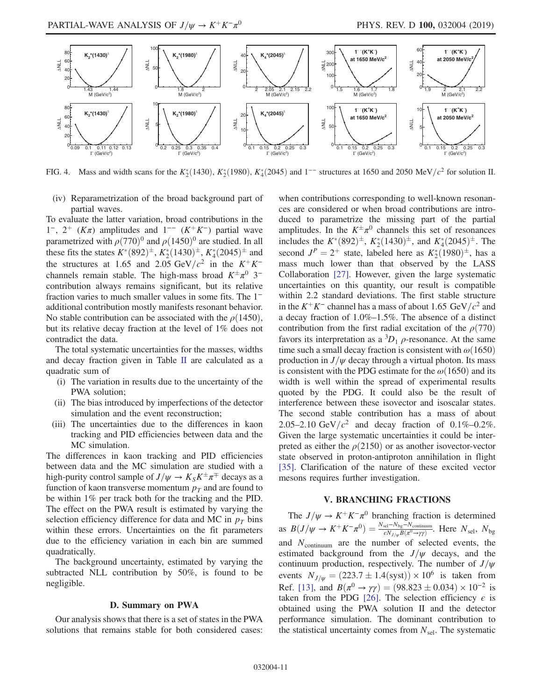<span id="page-10-0"></span>

FIG. 4. Mass and width scans for the  $K_2^*(1430)$ ,  $K_2^*(1980)$ ,  $K_4^*(2045)$  and  $1^{--}$  structures at 1650 and 2050 MeV/ $c^2$  for solution II.

(iv) Reparametrization of the broad background part of partial waves.

To evaluate the latter variation, broad contributions in the  $1^-, 2^+$  (Kπ) amplitudes and  $1^{--}$  (K<sup>+</sup>K<sup>−</sup>) partial wave parametrized with  $\rho(770)^{0}$  and  $\rho(1450)^{0}$  are studied. In all these fits the states  $K^*(892)^{\pm}$ ,  $K^*_2(1430)^{\pm}$ ,  $K^*_4(2045)^{\pm}$  and the structures at 1.65 and 2.05 GeV/ $c^2$  in the K<sup>+</sup>K<sup>−</sup> channels remain stable. The high-mass broad  $K^{\pm}\pi^{0}$  3<sup>-</sup> contribution always remains significant, but its relative fraction varies to much smaller values in some fits. The 1<sup>−</sup> additional contribution mostly manifests resonant behavior. No stable contribution can be associated with the  $\rho(1450)$ , but its relative decay fraction at the level of 1% does not contradict the data.

The total systematic uncertainties for the masses, widths and decay fraction given in Table [II](#page-9-0) are calculated as a quadratic sum of

- (i) The variation in results due to the uncertainty of the PWA solution;
- (ii) The bias introduced by imperfections of the detector simulation and the event reconstruction;
- (iii) The uncertainties due to the differences in kaon tracking and PID efficiencies between data and the MC simulation.

The differences in kaon tracking and PID efficiencies between data and the MC simulation are studied with a high-purity control sample of  $J/\psi \to K_S K^{\pm} \pi^{\mp}$  decays as a function of kaon transverse momentum  $p<sub>T</sub>$  and are found to be within 1% per track both for the tracking and the PID. The effect on the PWA result is estimated by varying the selection efficiency difference for data and MC in  $p_T$  bins within these errors. Uncertainties on the fit parameters due to the efficiency variation in each bin are summed quadratically.

The background uncertainty, estimated by varying the subtracted NLL contribution by 50%, is found to be negligible.

# D. Summary on PWA

Our analysis shows that there is a set of states in the PWA solutions that remains stable for both considered cases: when contributions corresponding to well-known resonances are considered or when broad contributions are introduced to parametrize the missing part of the partial amplitudes. In the  $K^{\pm}\pi^{0}$  channels this set of resonances includes the  $K^*(892)^{\pm}$ ,  $K^*_2(1430)^{\pm}$ , and  $K^*_4(2045)^{\pm}$ . The second  $J^P = 2^+$  state, labeled here as  $K_2^*(1980)^{\pm}$ , has a mass much lower than that observed by the LASS Collaboration [\[27\]](#page-13-14). However, given the large systematic uncertainties on this quantity, our result is compatible within 2.2 standard deviations. The first stable structure in the  $K^+K^-$  channel has a mass of about 1.65 GeV/ $c^2$  and a decay fraction of 1.0%–1.5%. The absence of a distinct contribution from the first radial excitation of the  $\rho(770)$ favors its interpretation as a  ${}^{3}D_1$   $\rho$ -resonance. At the same time such a small decay fraction is consistent with  $\omega(1650)$ production in  $J/\psi$  decay through a virtual photon. Its mass is consistent with the PDG estimate for the  $\omega(1650)$  and its width is well within the spread of experimental results quoted by the PDG. It could also be the result of interference between these isovector and isoscalar states. The second stable contribution has a mass of about 2.05–2.10 GeV/ $c^2$  and decay fraction of 0.1%–0.2%. Given the large systematic uncertainties it could be interpreted as either the  $\rho$ (2150) or as another isovector-vector state observed in proton-antiproton annihilation in flight [\[35\]](#page-13-22). Clarification of the nature of these excited vector mesons requires further investigation.

# V. BRANCHING FRACTIONS

The  $J/\psi \rightarrow K^+K^-\pi^0$  branching fraction is determined as  $B(J/\psi \to K^+K^-\pi^0)=\frac{N_{\text{sel}}-N_{\text{bg}}-N_{\text{continuum}}}{\epsilon N_{J/\psi}B(\pi^0\to\gamma\gamma)}$ . Here  $N_{\text{sel}}, N_{\text{bg}}$ and  $N_{\text{continuum}}$  are the number of selected events, the estimated background from the  $J/\psi$  decays, and the continuum production, respectively. The number of  $J/\psi$ events  $N_{J/\psi} = (223.7 \pm 1.4 \text{(syst)}) \times 10^6 \text{ is taken from}$ Ref. [\[13\]](#page-13-2), and  $B(\pi^0 \to \gamma \gamma) = (98.823 \pm 0.034) \times 10^{-2}$  is taken from the PDG [\[26\].](#page-13-13) The selection efficiency  $\epsilon$  is obtained using the PWA solution II and the detector performance simulation. The dominant contribution to the statistical uncertainty comes from  $N_{\text{sel}}$ . The systematic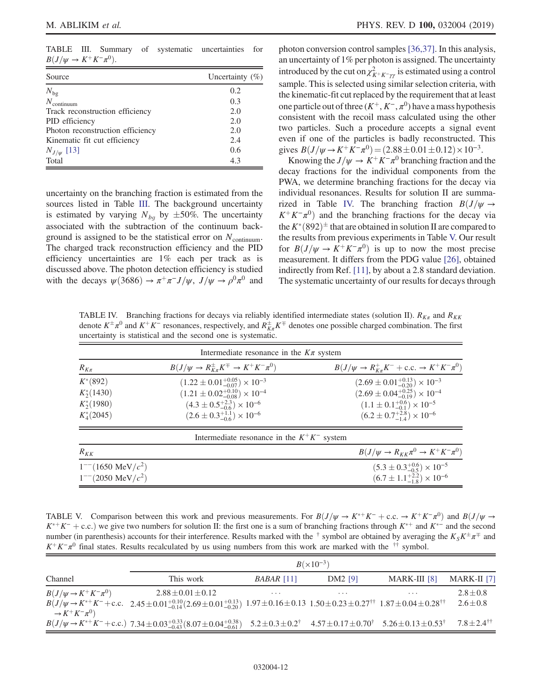<span id="page-11-0"></span>TABLE III. Summary of systematic uncertainties for  $B(J/\psi \to K^+K^-\pi^0)$ .

| Source                           | Uncertainty $(\%)$ |
|----------------------------------|--------------------|
| $N_{\rm bg}$                     | 0.2                |
| $N_{\text{continuum}}$           | 0.3                |
| Track reconstruction efficiency  | 2.0                |
| PID efficiency                   | 2.0                |
| Photon reconstruction efficiency | 2.0                |
| Kinematic fit cut efficiency     | 2.4                |
| $N_{J/\psi}$ [13]                | 0.6                |
| Total                            | 4.3                |

uncertainty on the branching fraction is estimated from the sources listed in Table [III](#page-11-0). The background uncertainty is estimated by varying  $N_{bg}$  by  $\pm 50\%$ . The uncertainty associated with the subtraction of the continuum background is assigned to be the statistical error on  $N_{\text{continuum}}$ . The charged track reconstruction efficiency and the PID efficiency uncertainties are 1% each per track as is discussed above. The photon detection efficiency is studied with the decays  $\psi(3686) \to \pi^+\pi^- J/\psi$ ,  $J/\psi \to \rho^0\pi^0$  and photon conversion control samples [\[36,37\]](#page-13-23). In this analysis, an uncertainty of 1% per photon is assigned. The uncertainty introduced by the cut on  $\chi^2_{K^+K^-\gamma\gamma}$  is estimated using a control sample. This is selected using similar selection criteria, with the kinematic-fit cut replaced by the requirement that at least one particle out of three  $(K^+, K^-, \pi^0)$  have a mass hypothesis consistent with the recoil mass calculated using the other two particles. Such a procedure accepts a signal event even if one of the particles is badly reconstructed. This gives  $B(J/\psi \to K^+ K^- \pi^0) = (2.88 \pm 0.01 \pm 0.12) \times 10^{-3}$ .

Knowing the  $J/\psi \to K^+K^-\pi^0$  branching fraction and the decay fractions for the individual components from the PWA, we determine branching fractions for the decay via individual resonances. Results for solution II are summa-rized in Table [IV.](#page-11-1) The branching fraction  $B(J/\psi \rightarrow$  $K^+K^-\pi^0$  and the branching fractions for the decay via the  $K^*(892)^\pm$  that are obtained in solution II are compared to the results from previous experiments in Table [V.](#page-11-2) Our result for  $B(J/\psi \rightarrow K^+K^-\pi^0)$  is up to now the most precise measurement. It differs from the PDG value [\[26\],](#page-13-13) obtained indirectly from Ref. [\[11\]](#page-13-0), by about a 2.8 standard deviation. The systematic uncertainty of our results for decays through

<span id="page-11-1"></span>TABLE IV. Branching fractions for decays via reliably identified intermediate states (solution II).  $R_{K\pi}$  and  $R_{KK}$ denote  $K^{\pm}\pi^0$  and  $K^+K^-$  resonances, respectively, and  $R_{K\pi}^{\pm}K^{\mp}$  denotes one possible charged combination. The first uncertainty is statistical and the second one is systematic.

| Intermediate resonance in the $K\pi$ system                   |                                                                                                                                                                                                      |                                                                                                                                                                                                      |  |  |  |
|---------------------------------------------------------------|------------------------------------------------------------------------------------------------------------------------------------------------------------------------------------------------------|------------------------------------------------------------------------------------------------------------------------------------------------------------------------------------------------------|--|--|--|
| $R_{K\pi}$                                                    | $B(J/\psi \to R_{K\pi}^{\pm} K^{\mp} \to K^+ K^- \pi^0)$                                                                                                                                             | $B(J/\psi \to R_{K\pi}^+ K^- + \text{c.c.} \to K^+ K^- \pi^0)$                                                                                                                                       |  |  |  |
| $K^*(892)$<br>$K_2^*(1430)$<br>$K_2^*(1980)$<br>$K_4^*(2045)$ | $(1.22 \pm 0.01^{+0.05}_{-0.07}) \times 10^{-3}$<br>$(1.21 \pm 0.02^{+0.10}_{-0.08}) \times 10^{-4}$<br>$(4.3 \pm 0.5^{+2.3}_{-0.6}) \times 10^{-6}$<br>$(2.6 \pm 0.3^{+1.1}_{-0.6}) \times 10^{-6}$ | $(2.69 \pm 0.01^{+0.13}_{-0.20}) \times 10^{-3}$<br>$(2.69 \pm 0.04^{+0.25}_{-0.19}) \times 10^{-4}$<br>$(1.1 \pm 0.1^{+0.6}_{-0.1}) \times 10^{-5}$<br>$(6.2 \pm 0.7^{+2.8}_{-1.4}) \times 10^{-6}$ |  |  |  |
|                                                               | Intermediate resonance in the $K^+K^-$ system                                                                                                                                                        |                                                                                                                                                                                                      |  |  |  |
| $R_{KK}$                                                      |                                                                                                                                                                                                      | $B(J/\psi \rightarrow R_{KK}\pi^0 \rightarrow K^+K^-\pi^0)$                                                                                                                                          |  |  |  |
| $1^{-1}$ (1650 MeV/ $c^2$ )<br>$1^{--}(2050 \text{ MeV}/c^2)$ |                                                                                                                                                                                                      | $(5.3 \pm 0.3^{+0.6}_{-0.5}) \times 10^{-5}$<br>$(6.7 \pm 1.1^{+2.2}_{-1.8}) \times 10^{-6}$                                                                                                         |  |  |  |

<span id="page-11-2"></span>TABLE V. Comparison between this work and previous measurements. For  $B(J/\psi \to K^+ K^- + c.c. \to K^+ K^-\pi^0)$  and  $B(J/\psi \to K^- K^- K^ K^{*+} K^-$  + c.c.) we give two numbers for solution II: the first one is a sum of branching fractions through  $K^{*+}$  and  $K^{*-}$  and the second number (in parenthesis) accounts for their interference. Results marked with the  $\dagger$  symbol are obtained by averaging the  $K_S K^{\pm} \pi^{\mp}$  and  $K^+K^-\pi^0$  final states. Results recalculated by us using numbers from this work are marked with the <sup>††</sup> symbol.

|                                     | $B(\times 10^{-3})$                                                                                                                                                                       |              |                     |                |                           |
|-------------------------------------|-------------------------------------------------------------------------------------------------------------------------------------------------------------------------------------------|--------------|---------------------|----------------|---------------------------|
| Channel                             | This work                                                                                                                                                                                 | $BABAR$ [11] | DM <sub>2</sub> [9] | $MARK-III$ [8] | MARK-II [7]               |
| $B(J/\psi \rightarrow K^+K^-\pi^0)$ | $2.88 \pm 0.01 \pm 0.12$                                                                                                                                                                  | $\cdots$     |                     | $\cdots$       | $2.8 + 0.8$               |
| $\rightarrow K^+K^-\pi^0$           | $B(J/\psi \to K^{*+}K^- + \text{c.c.}$ 2.45 ± 0.01 $^{+0.10}_{-0.14}(2.69 \pm 0.01^{+0.13}_{-0.20})$ 1.97 ± 0.16 ± 0.13 1.50 ± 0.23 ± 0.27 <sup>††</sup> 1.87 ± 0.04 ± 0.28 <sup>††</sup> |              |                     |                | $2.6 \pm 0.8$             |
|                                     | $B(J/\psi \to K^{*+}K^-+c.c.)$ 7.34 ± 0.03 <sup>+</sup> 0.33 <sup>{(3,07}</sup> ± 0.04 <sup>+0.33}</sup> 5.2±0.3±0.2 <sup>†</sup> 4.57±0.17±0.70 <sup>†</sup> 5.26±0.13±0.53 <sup>†</sup> |              |                     |                | $7.8 + 2.4$ <sup>††</sup> |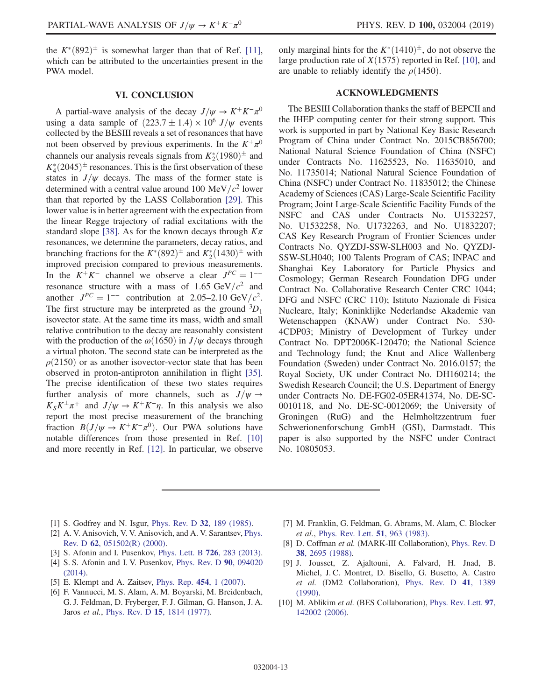the  $K^*(892)^{\pm}$  is somewhat larger than that of Ref. [\[11\]](#page-13-0), which can be attributed to the uncertainties present in the PWA model.

### VI. CONCLUSION

A partial-wave analysis of the decay  $J/\psi \rightarrow K^+K^-\pi^0$ using a data sample of  $(223.7 \pm 1.4) \times 10^6$  J/ $\psi$  events collected by the BESIII reveals a set of resonances that have not been observed by previous experiments. In the  $K^{\pm}\pi^0$ channels our analysis reveals signals from  $K_2^*(1980)^{\pm}$  and  $K_4^*(2045)^{\pm}$  resonances. This is the first observation of these states in  $J/\psi$  decays. The mass of the former state is determined with a central value around 100 MeV/ $c^2$  lower than that reported by the LASS Collaboration [\[29\].](#page-13-16) This lower value is in better agreement with the expectation from the linear Regge trajectory of radial excitations with the standard slope [\[38\].](#page-13-24) As for the known decays through  $K\pi$ resonances, we determine the parameters, decay ratios, and branching fractions for the  $K^*(892)^{\pm}$  and  $K^*_2(1430)^{\pm}$  with improved precision compared to previous measurements. In the  $K^+K^-$  channel we observe a clear  $J^{PC} = 1^{--}$ resonance structure with a mass of 1.65 GeV/ $c^2$  and another  $J^{PC} = 1^{--}$  contribution at 2.05–2.10 GeV/ $c^2$ . The first structure may be interpreted as the ground  ${}^{3}D_1$ isovector state. At the same time its mass, width and small relative contribution to the decay are reasonably consistent with the production of the  $\omega(1650)$  in  $J/\psi$  decays through a virtual photon. The second state can be interpreted as the  $\rho(2150)$  or as another isovector-vector state that has been observed in proton-antiproton annihilation in flight [\[35\]](#page-13-22). The precise identification of these two states requires further analysis of more channels, such as  $J/\psi \rightarrow$  $K_S K^{\pm} \pi^{\mp}$  and  $J/\psi \rightarrow K^{\pm} K^{\mp} \eta$ . In this analysis we also report the most precise measurement of the branching fraction  $B(J/\psi \to K^+K^-\pi^0)$ . Our PWA solutions have notable differences from those presented in Ref. [\[10\]](#page-12-8) and more recently in Ref. [\[12\]](#page-13-1). In particular, we observe

only marginal hints for the  $K^*(1410)^{\pm}$ , do not observe the large production rate of  $X(1575)$  reported in Ref. [\[10\],](#page-12-8) and are unable to reliably identify the  $\rho(1450)$ .

# ACKNOWLEDGMENTS

The BESIII Collaboration thanks the staff of BEPCII and the IHEP computing center for their strong support. This work is supported in part by National Key Basic Research Program of China under Contract No. 2015CB856700; National Natural Science Foundation of China (NSFC) under Contracts No. 11625523, No. 11635010, and No. 11735014; National Natural Science Foundation of China (NSFC) under Contract No. 11835012; the Chinese Academy of Sciences (CAS) Large-Scale Scientific Facility Program; Joint Large-Scale Scientific Facility Funds of the NSFC and CAS under Contracts No. U1532257, No. U1532258, No. U1732263, and No. U1832207; CAS Key Research Program of Frontier Sciences under Contracts No. QYZDJ-SSW-SLH003 and No. QYZDJ-SSW-SLH040; 100 Talents Program of CAS; INPAC and Shanghai Key Laboratory for Particle Physics and Cosmology; German Research Foundation DFG under Contract No. Collaborative Research Center CRC 1044; DFG and NSFC (CRC 110); Istituto Nazionale di Fisica Nucleare, Italy; Koninklijke Nederlandse Akademie van Wetenschappen (KNAW) under Contract No. 530- 4CDP03; Ministry of Development of Turkey under Contract No. DPT2006K-120470; the National Science and Technology fund; the Knut and Alice Wallenberg Foundation (Sweden) under Contract No. 2016.0157; the Royal Society, UK under Contract No. DH160214; the Swedish Research Council; the U.S. Department of Energy under Contracts No. DE-FG02-05ER41374, No. DE-SC-0010118, and No. DE-SC-0012069; the University of Groningen (RuG) and the Helmholtzzentrum fuer Schwerionenforschung GmbH (GSI), Darmstadt. This paper is also supported by the NSFC under Contract No. 10805053.

- <span id="page-12-0"></span>[1] S. Godfrey and N. Isgur, [Phys. Rev. D](https://doi.org/10.1103/PhysRevD.32.189) 32, 189 (1985).
- <span id="page-12-1"></span>[2] A. V. Anisovich, V. V. Anisovich, and A. V. Sarantsev, [Phys.](https://doi.org/10.1103/PhysRevD.62.051502) Rev. D 62[, 051502\(R\) \(2000\).](https://doi.org/10.1103/PhysRevD.62.051502)
- <span id="page-12-2"></span>[3] S. Afonin and I. Pusenkov, [Phys. Lett. B](https://doi.org/10.1016/j.physletb.2013.08.032) **726**, 283 (2013).
- [4] S. S. Afonin and I. V. Pusenkov, [Phys. Rev. D](https://doi.org/10.1103/PhysRevD.90.094020) 90, 094020 [\(2014\).](https://doi.org/10.1103/PhysRevD.90.094020)
- <span id="page-12-3"></span>[5] E. Klempt and A. Zaitsev, [Phys. Rep.](https://doi.org/10.1016/j.physrep.2007.07.006) 454, 1 (2007).
- <span id="page-12-4"></span>[6] F. Vannucci, M. S. Alam, A. M. Boyarski, M. Breidenbach, G. J. Feldman, D. Fryberger, F. J. Gilman, G. Hanson, J. A. Jaros et al., Phys. Rev. D 15[, 1814 \(1977\)](https://doi.org/10.1103/PhysRevD.15.1814).
- <span id="page-12-5"></span>[7] M. Franklin, G. Feldman, G. Abrams, M. Alam, C. Blocker et al., [Phys. Rev. Lett.](https://doi.org/10.1103/PhysRevLett.51.963) **51**, 963 (1983).
- <span id="page-12-6"></span>[8] D. Coffman et al. (MARK-III Collaboration), [Phys. Rev. D](https://doi.org/10.1103/PhysRevD.38.2695) 38[, 2695 \(1988\)](https://doi.org/10.1103/PhysRevD.38.2695).
- <span id="page-12-7"></span>[9] J. Jousset, Z. Ajaltouni, A. Falvard, H. Jnad, B. Michel, J. C. Montret, D. Bisello, G. Busetto, A. Castro et al. (DM2 Collaboration), [Phys. Rev. D](https://doi.org/10.1103/PhysRevD.41.1389) 41, 1389 [\(1990\).](https://doi.org/10.1103/PhysRevD.41.1389)
- <span id="page-12-8"></span>[10] M. Ablikim et al. (BES Collaboration), [Phys. Rev. Lett.](https://doi.org/10.1103/PhysRevLett.97.142002) 97, [142002 \(2006\).](https://doi.org/10.1103/PhysRevLett.97.142002)